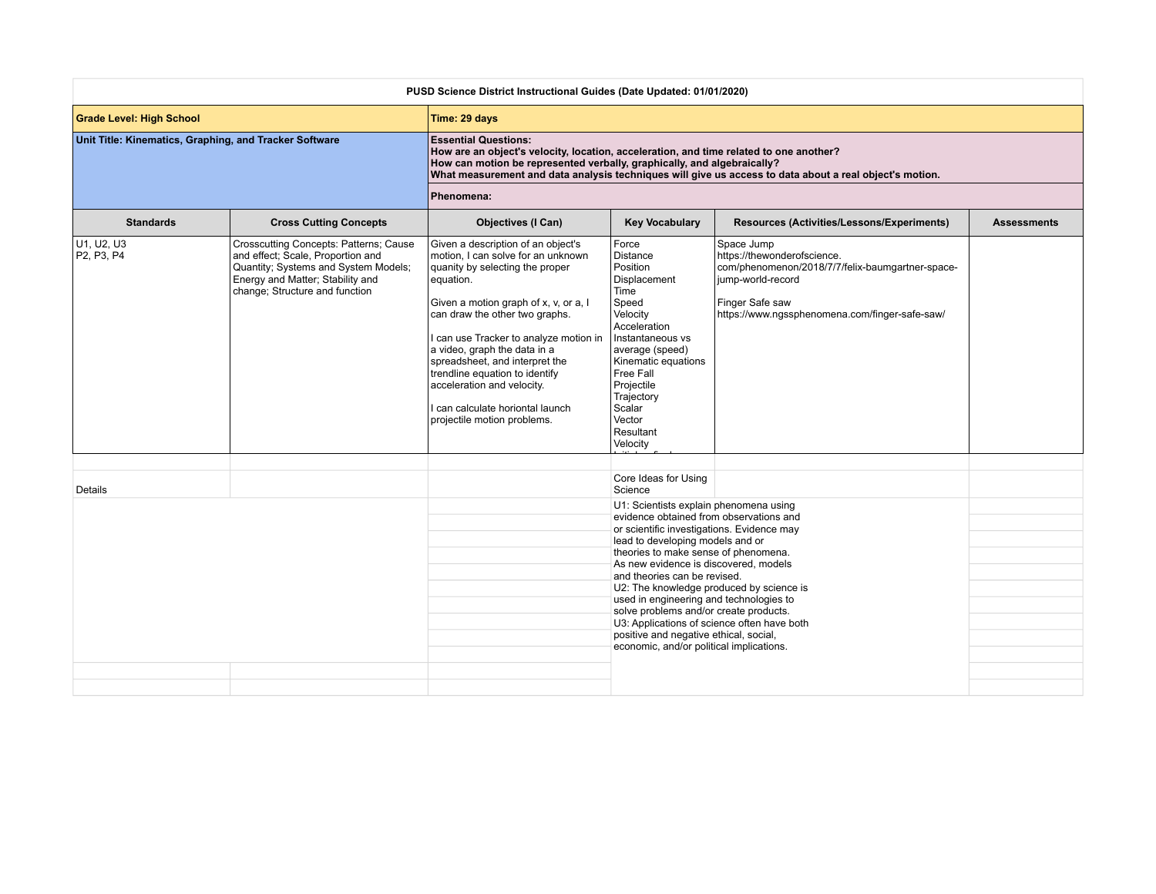|                                                        |                                                                                                                                                                                           | PUSD Science District Instructional Guides (Date Updated: 01/01/2020)                                                                                                                                                                                                                                                                                                                                                                              |                                                                                                                                                                                                                                                                                                                                                                                                                                                                                                                                                            |                                                                                                                                                                                         |                    |
|--------------------------------------------------------|-------------------------------------------------------------------------------------------------------------------------------------------------------------------------------------------|----------------------------------------------------------------------------------------------------------------------------------------------------------------------------------------------------------------------------------------------------------------------------------------------------------------------------------------------------------------------------------------------------------------------------------------------------|------------------------------------------------------------------------------------------------------------------------------------------------------------------------------------------------------------------------------------------------------------------------------------------------------------------------------------------------------------------------------------------------------------------------------------------------------------------------------------------------------------------------------------------------------------|-----------------------------------------------------------------------------------------------------------------------------------------------------------------------------------------|--------------------|
| <b>Grade Level: High School</b>                        |                                                                                                                                                                                           | Time: 29 days                                                                                                                                                                                                                                                                                                                                                                                                                                      |                                                                                                                                                                                                                                                                                                                                                                                                                                                                                                                                                            |                                                                                                                                                                                         |                    |
| Unit Title: Kinematics, Graphing, and Tracker Software |                                                                                                                                                                                           | <b>Essential Questions:</b><br>How are an object's velocity, location, acceleration, and time related to one another?<br>How can motion be represented verbally, graphically, and algebraically?                                                                                                                                                                                                                                                   |                                                                                                                                                                                                                                                                                                                                                                                                                                                                                                                                                            | What measurement and data analysis techniques will give us access to data about a real object's motion.                                                                                 |                    |
|                                                        |                                                                                                                                                                                           | Phenomena:                                                                                                                                                                                                                                                                                                                                                                                                                                         |                                                                                                                                                                                                                                                                                                                                                                                                                                                                                                                                                            |                                                                                                                                                                                         |                    |
| <b>Standards</b>                                       | <b>Cross Cutting Concepts</b>                                                                                                                                                             | <b>Objectives (I Can)</b>                                                                                                                                                                                                                                                                                                                                                                                                                          | <b>Key Vocabulary</b>                                                                                                                                                                                                                                                                                                                                                                                                                                                                                                                                      | Resources (Activities/Lessons/Experiments)                                                                                                                                              | <b>Assessments</b> |
| u1, u2, u3<br>P2, P3, P4                               | Crosscutting Concepts: Patterns; Cause<br>and effect; Scale, Proportion and<br>Quantity; Systems and System Models;<br>Energy and Matter; Stability and<br>change; Structure and function | Given a description of an object's<br>motion. I can solve for an unknown<br>quanity by selecting the proper<br>equation.<br>Given a motion graph of x, v, or a, I<br>can draw the other two graphs.<br>I can use Tracker to analyze motion in<br>a video, graph the data in a<br>spreadsheet, and interpret the<br>trendline equation to identify<br>acceleration and velocity.<br>I can calculate horiontal launch<br>projectile motion problems. | Force<br>Distance<br>Position<br>Displacement<br>Time<br>Speed<br>Velocity<br>Acceleration<br>Instantaneous vs<br>average (speed)<br>Kinematic equations<br>Free Fall<br>Projectile<br>Trajectory<br>Scalar<br>Vector<br>Resultant<br>Velocity                                                                                                                                                                                                                                                                                                             | Space Jump<br>https://thewonderofscience.<br>com/phenomenon/2018/7/7/felix-baumgartner-space-<br>jump-world-record<br>Finger Safe saw<br>https://www.ngssphenomena.com/finger-safe-saw/ |                    |
| Details                                                |                                                                                                                                                                                           |                                                                                                                                                                                                                                                                                                                                                                                                                                                    | Core Ideas for Using<br>Science                                                                                                                                                                                                                                                                                                                                                                                                                                                                                                                            |                                                                                                                                                                                         |                    |
|                                                        |                                                                                                                                                                                           |                                                                                                                                                                                                                                                                                                                                                                                                                                                    | U1: Scientists explain phenomena using<br>evidence obtained from observations and<br>or scientific investigations. Evidence may<br>lead to developing models and or<br>theories to make sense of phenomena.<br>As new evidence is discovered, models<br>and theories can be revised.<br>U2: The knowledge produced by science is<br>used in engineering and technologies to<br>solve problems and/or create products.<br>U3: Applications of science often have both<br>positive and negative ethical, social,<br>economic, and/or political implications. |                                                                                                                                                                                         |                    |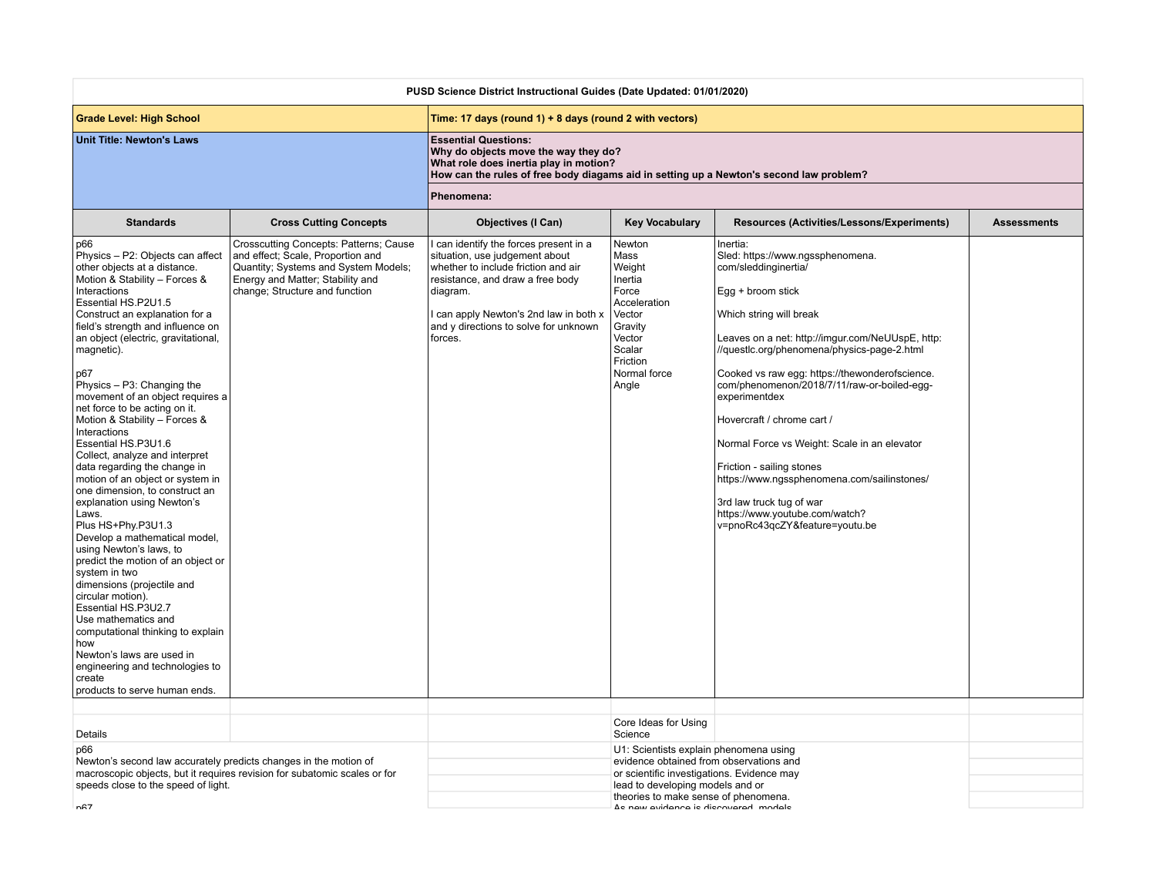| PUSD Science District Instructional Guides (Date Updated: 01/01/2020)                                                                                                                                                                                                                                                                                                                                                                                                                                                                                                                                                                                                                                                                                                                                                                                                                                                                                                                                                                            |                                                                                                                                                                                           |                                                                                                                                                                                                                                                             |                                                                                                                                                                                                                                                     |                                                                                                                                                                                                                                                                                                                                                                                                                                                                                                                                                                                                     |                    |
|--------------------------------------------------------------------------------------------------------------------------------------------------------------------------------------------------------------------------------------------------------------------------------------------------------------------------------------------------------------------------------------------------------------------------------------------------------------------------------------------------------------------------------------------------------------------------------------------------------------------------------------------------------------------------------------------------------------------------------------------------------------------------------------------------------------------------------------------------------------------------------------------------------------------------------------------------------------------------------------------------------------------------------------------------|-------------------------------------------------------------------------------------------------------------------------------------------------------------------------------------------|-------------------------------------------------------------------------------------------------------------------------------------------------------------------------------------------------------------------------------------------------------------|-----------------------------------------------------------------------------------------------------------------------------------------------------------------------------------------------------------------------------------------------------|-----------------------------------------------------------------------------------------------------------------------------------------------------------------------------------------------------------------------------------------------------------------------------------------------------------------------------------------------------------------------------------------------------------------------------------------------------------------------------------------------------------------------------------------------------------------------------------------------------|--------------------|
| <b>Grade Level: High School</b>                                                                                                                                                                                                                                                                                                                                                                                                                                                                                                                                                                                                                                                                                                                                                                                                                                                                                                                                                                                                                  |                                                                                                                                                                                           | Time: 17 days (round 1) + 8 days (round 2 with vectors)                                                                                                                                                                                                     |                                                                                                                                                                                                                                                     |                                                                                                                                                                                                                                                                                                                                                                                                                                                                                                                                                                                                     |                    |
| <b>Unit Title: Newton's Laws</b>                                                                                                                                                                                                                                                                                                                                                                                                                                                                                                                                                                                                                                                                                                                                                                                                                                                                                                                                                                                                                 |                                                                                                                                                                                           | <b>Essential Questions:</b><br>Why do objects move the way they do?<br>What role does inertia play in motion?<br>How can the rules of free body diagams aid in setting up a Newton's second law problem?                                                    |                                                                                                                                                                                                                                                     |                                                                                                                                                                                                                                                                                                                                                                                                                                                                                                                                                                                                     |                    |
|                                                                                                                                                                                                                                                                                                                                                                                                                                                                                                                                                                                                                                                                                                                                                                                                                                                                                                                                                                                                                                                  |                                                                                                                                                                                           | Phenomena:                                                                                                                                                                                                                                                  |                                                                                                                                                                                                                                                     |                                                                                                                                                                                                                                                                                                                                                                                                                                                                                                                                                                                                     |                    |
| <b>Standards</b>                                                                                                                                                                                                                                                                                                                                                                                                                                                                                                                                                                                                                                                                                                                                                                                                                                                                                                                                                                                                                                 | <b>Cross Cutting Concepts</b>                                                                                                                                                             | <b>Objectives (I Can)</b>                                                                                                                                                                                                                                   | <b>Key Vocabulary</b>                                                                                                                                                                                                                               | Resources (Activities/Lessons/Experiments)                                                                                                                                                                                                                                                                                                                                                                                                                                                                                                                                                          | <b>Assessments</b> |
| p66<br>Physics - P2: Objects can affect<br>other objects at a distance.<br>Motion & Stability - Forces &<br>Interactions<br>Essential HS.P2U1.5<br>Construct an explanation for a<br>field's strength and influence on<br>an object (electric, gravitational,<br>magnetic).<br>p67<br>Physics $- P3$ : Changing the<br>movement of an object requires a<br>net force to be acting on it.<br>Motion & Stability - Forces &<br>Interactions<br>Essential HS.P3U1.6<br>Collect, analyze and interpret<br>data regarding the change in<br>motion of an object or system in<br>one dimension, to construct an<br>explanation using Newton's<br>Laws.<br>Plus HS+Phy.P3U1.3<br>Develop a mathematical model,<br>using Newton's laws, to<br>predict the motion of an object or<br>system in two<br>dimensions (projectile and<br>circular motion).<br>Essential HS.P3U2.7<br>Use mathematics and<br>computational thinking to explain<br>how<br>Newton's laws are used in<br>engineering and technologies to<br>create<br>products to serve human ends. | Crosscutting Concepts: Patterns; Cause<br>and effect; Scale, Proportion and<br>Quantity; Systems and System Models;<br>Energy and Matter; Stability and<br>change; Structure and function | can identify the forces present in a<br>situation, use judgement about<br>whether to include friction and air<br>resistance, and draw a free body<br>diagram.<br>I can apply Newton's 2nd law in both x<br>and y directions to solve for unknown<br>forces. | Newton<br>Mass<br>Weight<br>Inertia<br>Force<br>Acceleration<br>Vector<br>Gravity<br>Vector<br>Scalar<br>Friction<br>Normal force<br>Angle                                                                                                          | Inertia:<br>Sled: https://www.ngssphenomena.<br>com/sleddinginertia/<br>Egg + broom stick<br>Which string will break<br>Leaves on a net: http://imgur.com/NeUUspE, http:<br>//questlc.org/phenomena/physics-page-2.html<br>Cooked vs raw egg: https://thewonderofscience.<br>com/phenomenon/2018/7/11/raw-or-boiled-egg-<br>experimentdex<br>Hovercraft / chrome cart /<br>Normal Force vs Weight: Scale in an elevator<br>Friction - sailing stones<br>https://www.ngssphenomena.com/sailinstones/<br>3rd law truck tug of war<br>https://www.youtube.com/watch?<br>v=pnoRc43qcZY&feature=youtu.be |                    |
|                                                                                                                                                                                                                                                                                                                                                                                                                                                                                                                                                                                                                                                                                                                                                                                                                                                                                                                                                                                                                                                  |                                                                                                                                                                                           |                                                                                                                                                                                                                                                             |                                                                                                                                                                                                                                                     |                                                                                                                                                                                                                                                                                                                                                                                                                                                                                                                                                                                                     |                    |
| Details                                                                                                                                                                                                                                                                                                                                                                                                                                                                                                                                                                                                                                                                                                                                                                                                                                                                                                                                                                                                                                          |                                                                                                                                                                                           |                                                                                                                                                                                                                                                             | Core Ideas for Using<br>Science                                                                                                                                                                                                                     |                                                                                                                                                                                                                                                                                                                                                                                                                                                                                                                                                                                                     |                    |
| p66<br>Newton's second law accurately predicts changes in the motion of<br>speeds close to the speed of light.<br>n67                                                                                                                                                                                                                                                                                                                                                                                                                                                                                                                                                                                                                                                                                                                                                                                                                                                                                                                            | macroscopic objects, but it requires revision for subatomic scales or for                                                                                                                 |                                                                                                                                                                                                                                                             | U1: Scientists explain phenomena using<br>evidence obtained from observations and<br>or scientific investigations. Evidence may<br>lead to developing models and or<br>theories to make sense of phenomena.<br>As now ovidance is discovered models |                                                                                                                                                                                                                                                                                                                                                                                                                                                                                                                                                                                                     |                    |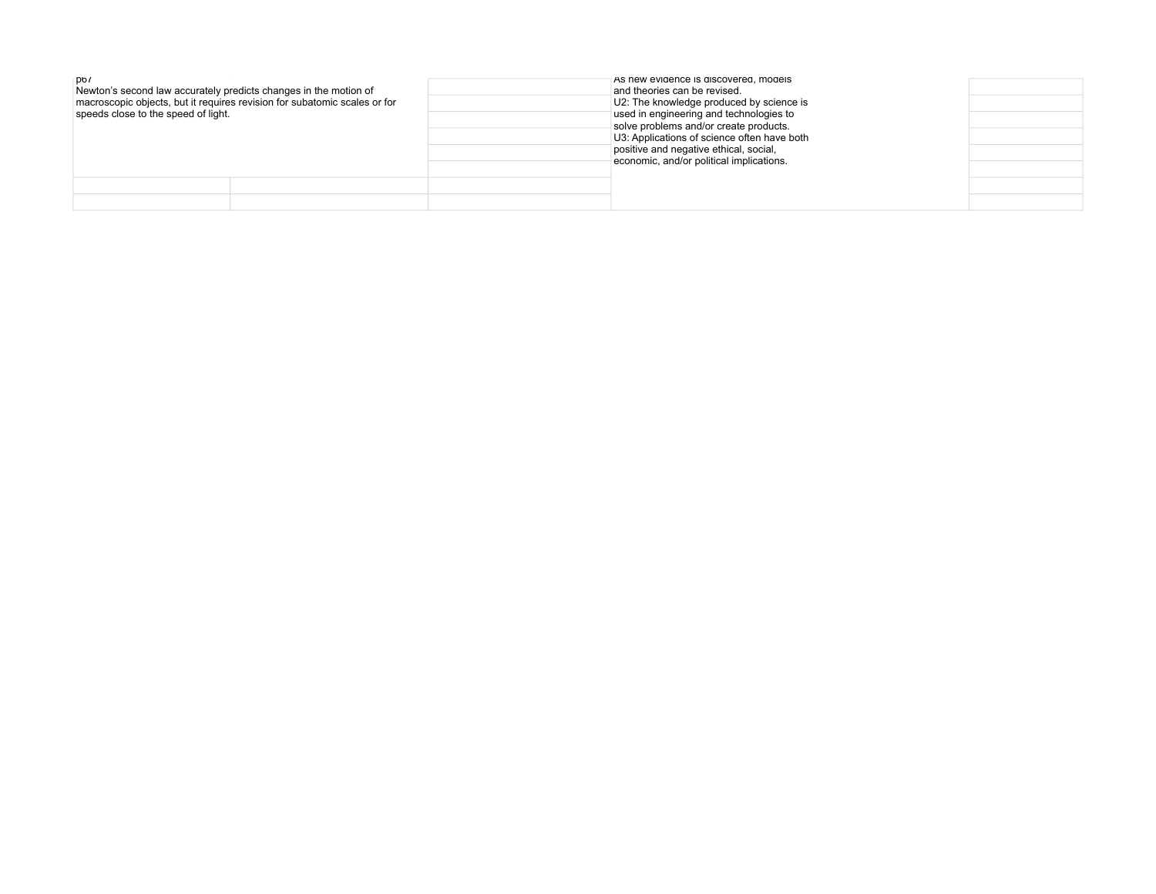| $p_{0}$<br>Newton's second law accurately predicts changes in the motion of<br>speeds close to the speed of light. | macroscopic objects, but it requires revision for subatomic scales or for | As new evidence is discovered, models<br>and theories can be revised.<br>U2: The knowledge produced by science is<br>used in engineering and technologies to<br>solve problems and/or create products.<br>U3: Applications of science often have both<br>positive and negative ethical, social,<br>economic, and/or political implications. |  |
|--------------------------------------------------------------------------------------------------------------------|---------------------------------------------------------------------------|---------------------------------------------------------------------------------------------------------------------------------------------------------------------------------------------------------------------------------------------------------------------------------------------------------------------------------------------|--|
|                                                                                                                    |                                                                           |                                                                                                                                                                                                                                                                                                                                             |  |
|                                                                                                                    |                                                                           |                                                                                                                                                                                                                                                                                                                                             |  |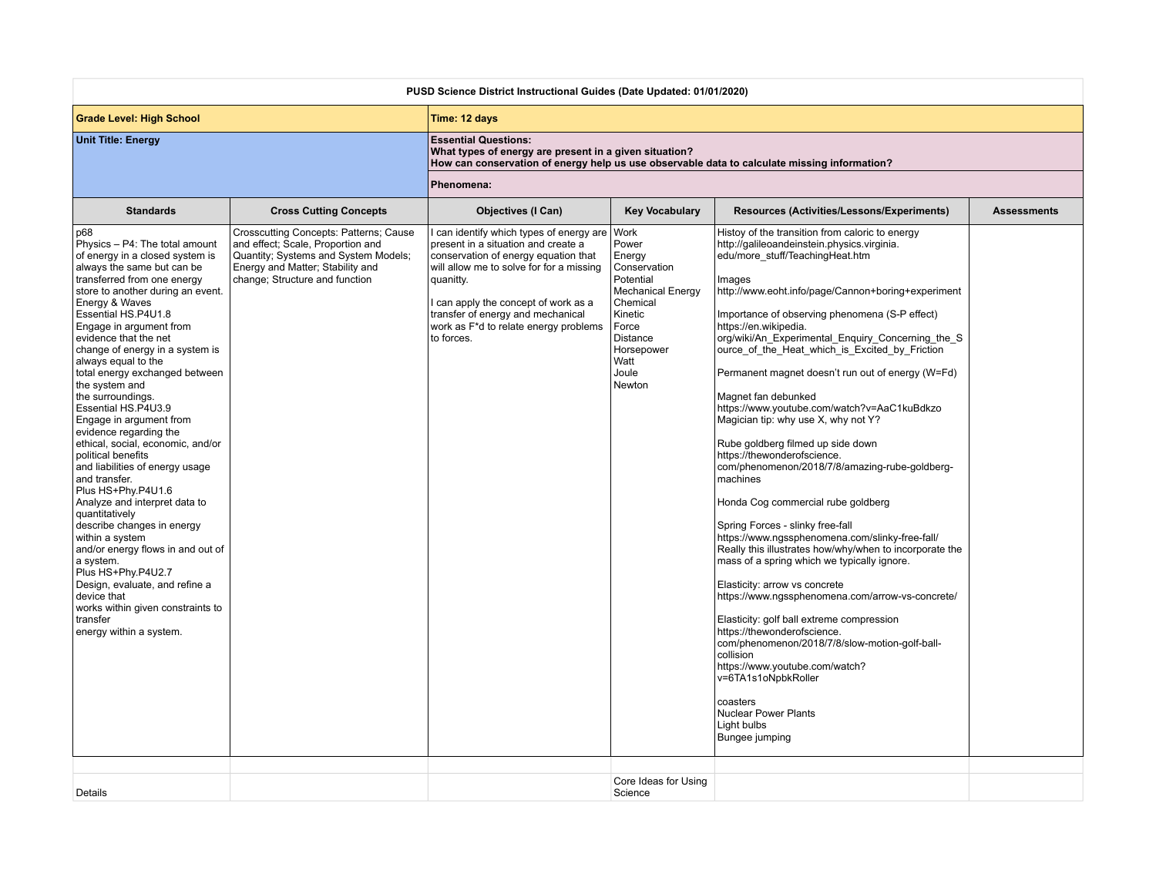| PUSD Science District Instructional Guides (Date Updated: 01/01/2020)                                                                                                                                                                                                                                                                                                                                                                                                                                                                                                                                                                                                                                                                                                                                                                                                                                                                |                                                                                                                                                                                           |                                                                                                                                                                                                                                                                                                                  |                                                                                                                                                                              |                                                                                                                                                                                                                                                                                                                                                                                                                                                                                                                                                                                                                                                                                                                                                                                                                                                                                                                                                                                                                                                                                                                                                                                                                                                                                                     |                    |  |
|--------------------------------------------------------------------------------------------------------------------------------------------------------------------------------------------------------------------------------------------------------------------------------------------------------------------------------------------------------------------------------------------------------------------------------------------------------------------------------------------------------------------------------------------------------------------------------------------------------------------------------------------------------------------------------------------------------------------------------------------------------------------------------------------------------------------------------------------------------------------------------------------------------------------------------------|-------------------------------------------------------------------------------------------------------------------------------------------------------------------------------------------|------------------------------------------------------------------------------------------------------------------------------------------------------------------------------------------------------------------------------------------------------------------------------------------------------------------|------------------------------------------------------------------------------------------------------------------------------------------------------------------------------|-----------------------------------------------------------------------------------------------------------------------------------------------------------------------------------------------------------------------------------------------------------------------------------------------------------------------------------------------------------------------------------------------------------------------------------------------------------------------------------------------------------------------------------------------------------------------------------------------------------------------------------------------------------------------------------------------------------------------------------------------------------------------------------------------------------------------------------------------------------------------------------------------------------------------------------------------------------------------------------------------------------------------------------------------------------------------------------------------------------------------------------------------------------------------------------------------------------------------------------------------------------------------------------------------------|--------------------|--|
| <b>Grade Level: High School</b>                                                                                                                                                                                                                                                                                                                                                                                                                                                                                                                                                                                                                                                                                                                                                                                                                                                                                                      |                                                                                                                                                                                           | Time: 12 days                                                                                                                                                                                                                                                                                                    |                                                                                                                                                                              |                                                                                                                                                                                                                                                                                                                                                                                                                                                                                                                                                                                                                                                                                                                                                                                                                                                                                                                                                                                                                                                                                                                                                                                                                                                                                                     |                    |  |
| <b>Unit Title: Energy</b>                                                                                                                                                                                                                                                                                                                                                                                                                                                                                                                                                                                                                                                                                                                                                                                                                                                                                                            |                                                                                                                                                                                           | <b>Essential Questions:</b><br>What types of energy are present in a given situation?                                                                                                                                                                                                                            |                                                                                                                                                                              | How can conservation of energy help us use observable data to calculate missing information?                                                                                                                                                                                                                                                                                                                                                                                                                                                                                                                                                                                                                                                                                                                                                                                                                                                                                                                                                                                                                                                                                                                                                                                                        |                    |  |
|                                                                                                                                                                                                                                                                                                                                                                                                                                                                                                                                                                                                                                                                                                                                                                                                                                                                                                                                      |                                                                                                                                                                                           | Phenomena:                                                                                                                                                                                                                                                                                                       |                                                                                                                                                                              |                                                                                                                                                                                                                                                                                                                                                                                                                                                                                                                                                                                                                                                                                                                                                                                                                                                                                                                                                                                                                                                                                                                                                                                                                                                                                                     |                    |  |
| <b>Standards</b>                                                                                                                                                                                                                                                                                                                                                                                                                                                                                                                                                                                                                                                                                                                                                                                                                                                                                                                     | <b>Cross Cutting Concepts</b>                                                                                                                                                             | <b>Objectives (I Can)</b>                                                                                                                                                                                                                                                                                        | <b>Key Vocabulary</b>                                                                                                                                                        | Resources (Activities/Lessons/Experiments)                                                                                                                                                                                                                                                                                                                                                                                                                                                                                                                                                                                                                                                                                                                                                                                                                                                                                                                                                                                                                                                                                                                                                                                                                                                          | <b>Assessments</b> |  |
| p68<br>Physics - P4: The total amount<br>of energy in a closed system is<br>always the same but can be<br>transferred from one energy<br>store to another during an event.<br>Energy & Waves<br>Essential HS.P4U1.8<br>Engage in argument from<br>evidence that the net<br>change of energy in a system is<br>always equal to the<br>total energy exchanged between<br>the system and<br>the surroundings.<br>Essential HS.P4U3.9<br>Engage in argument from<br>evidence regarding the<br>ethical, social, economic, and/or<br>political benefits<br>and liabilities of energy usage<br>and transfer.<br>Plus HS+Phy.P4U1.6<br>Analyze and interpret data to<br>guantitatively<br>describe changes in energy<br>within a system<br>and/or energy flows in and out of<br>a system.<br>Plus HS+Phv.P4U2.7<br>Design, evaluate, and refine a<br>device that<br>works within given constraints to<br>transfer<br>energy within a system. | Crosscutting Concepts: Patterns; Cause<br>and effect; Scale, Proportion and<br>Quantity; Systems and System Models;<br>Energy and Matter; Stability and<br>change; Structure and function | can identify which types of energy are<br>present in a situation and create a<br>conservation of energy equation that<br>will allow me to solve for for a missing<br>quanitty.<br>can apply the concept of work as a<br>transfer of energy and mechanical<br>work as F*d to relate energy problems<br>to forces. | Work<br>Power<br>Energy<br>Conservation<br>Potential<br><b>Mechanical Energy</b><br>Chemical<br>Kinetic<br>Force<br><b>Distance</b><br>Horsepower<br>Watt<br>Joule<br>Newton | Histoy of the transition from caloric to energy<br>http://galileoandeinstein.physics.virginia.<br>edu/more stuff/TeachingHeat.htm<br>Images<br>http://www.eoht.info/page/Cannon+boring+experiment<br>Importance of observing phenomena (S-P effect)<br>https://en.wikipedia.<br>org/wiki/An Experimental Enquiry Concerning the S<br>ource of the Heat which is Excited by Friction<br>Permanent magnet doesn't run out of energy (W=Fd)<br>Magnet fan debunked<br>https://www.youtube.com/watch?v=AaC1kuBdkzo<br>Magician tip: why use X, why not Y?<br>Rube goldberg filmed up side down<br>https://thewonderofscience.<br>com/phenomenon/2018/7/8/amazing-rube-goldberg-<br>machines<br>Honda Cog commercial rube goldberg<br>Spring Forces - slinky free-fall<br>https://www.ngssphenomena.com/slinky-free-fall/<br>Really this illustrates how/why/when to incorporate the<br>mass of a spring which we typically ignore.<br>Elasticity: arrow vs concrete<br>https://www.nqssphenomena.com/arrow-vs-concrete/<br>Elasticity: golf ball extreme compression<br>https://thewonderofscience.<br>com/phenomenon/2018/7/8/slow-motion-golf-ball-<br>collision<br>https://www.youtube.com/watch?<br>v=6TA1s1oNpbkRoller<br>coasters<br><b>Nuclear Power Plants</b><br>Light bulbs<br>Bungee jumping |                    |  |
| Details                                                                                                                                                                                                                                                                                                                                                                                                                                                                                                                                                                                                                                                                                                                                                                                                                                                                                                                              |                                                                                                                                                                                           |                                                                                                                                                                                                                                                                                                                  | Core Ideas for Using<br>Science                                                                                                                                              |                                                                                                                                                                                                                                                                                                                                                                                                                                                                                                                                                                                                                                                                                                                                                                                                                                                                                                                                                                                                                                                                                                                                                                                                                                                                                                     |                    |  |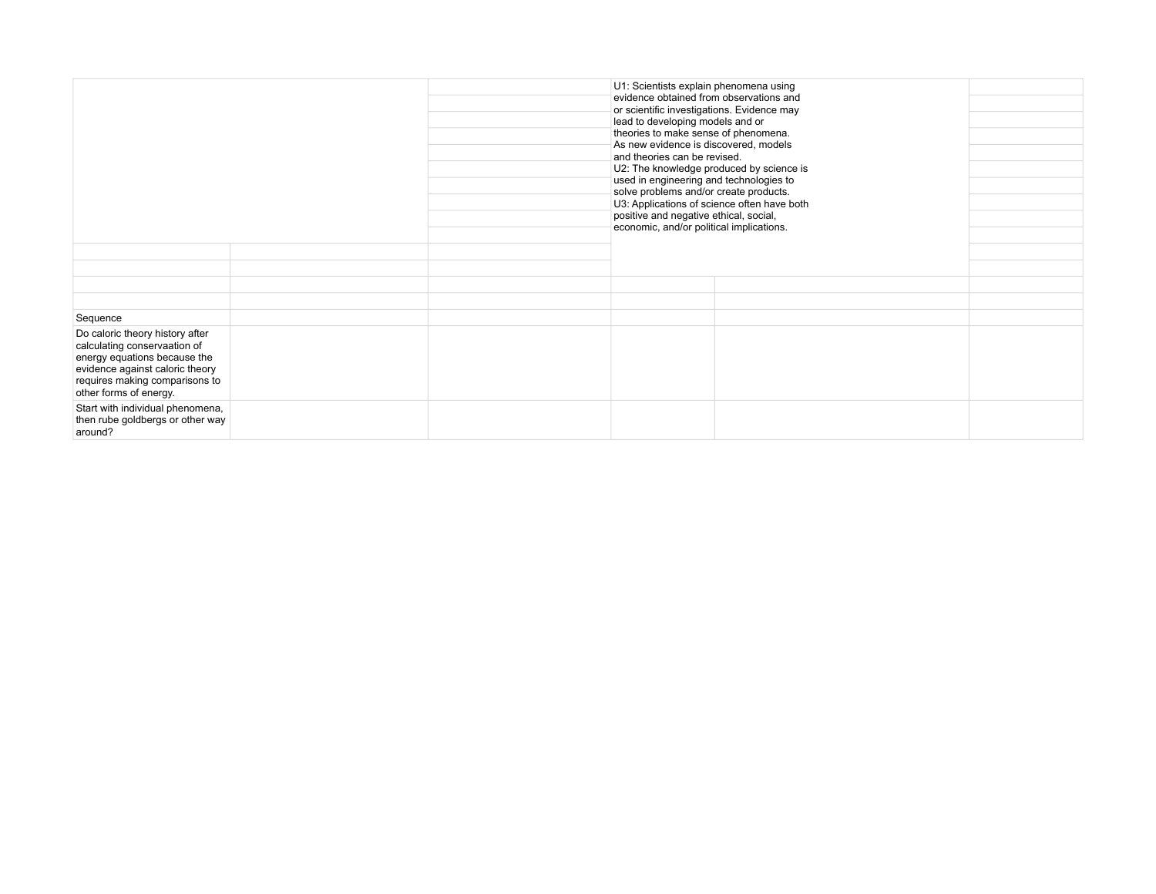|                                                                                                                                                                                                | U1: Scientists explain phenomena using<br>evidence obtained from observations and<br>or scientific investigations. Evidence may<br>lead to developing models and or<br>theories to make sense of phenomena.<br>As new evidence is discovered, models<br>and theories can be revised.<br>U2: The knowledge produced by science is<br>used in engineering and technologies to<br>solve problems and/or create products.<br>U3: Applications of science often have both<br>positive and negative ethical, social,<br>economic, and/or political implications. |  |  |  |
|------------------------------------------------------------------------------------------------------------------------------------------------------------------------------------------------|------------------------------------------------------------------------------------------------------------------------------------------------------------------------------------------------------------------------------------------------------------------------------------------------------------------------------------------------------------------------------------------------------------------------------------------------------------------------------------------------------------------------------------------------------------|--|--|--|
|                                                                                                                                                                                                |                                                                                                                                                                                                                                                                                                                                                                                                                                                                                                                                                            |  |  |  |
|                                                                                                                                                                                                |                                                                                                                                                                                                                                                                                                                                                                                                                                                                                                                                                            |  |  |  |
|                                                                                                                                                                                                |                                                                                                                                                                                                                                                                                                                                                                                                                                                                                                                                                            |  |  |  |
| Sequence                                                                                                                                                                                       |                                                                                                                                                                                                                                                                                                                                                                                                                                                                                                                                                            |  |  |  |
| Do caloric theory history after<br>calculating conservaation of<br>energy equations because the<br>evidence against caloric theory<br>requires making comparisons to<br>other forms of energy. |                                                                                                                                                                                                                                                                                                                                                                                                                                                                                                                                                            |  |  |  |
| Start with individual phenomena,<br>then rube goldbergs or other way<br>around?                                                                                                                |                                                                                                                                                                                                                                                                                                                                                                                                                                                                                                                                                            |  |  |  |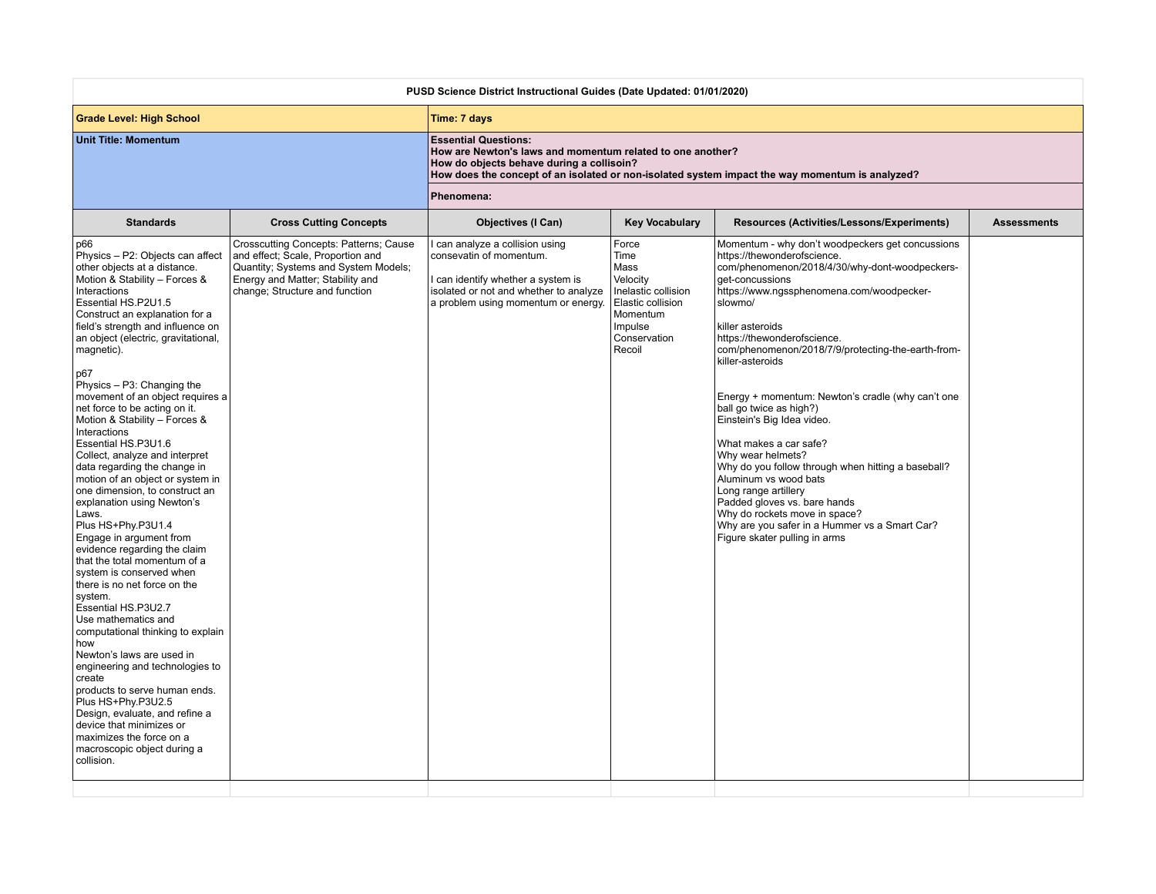| <b>Grade Level: High School</b><br>Time: 7 days<br><b>Unit Title: Momentum</b><br><b>Essential Questions:</b><br>How are Newton's laws and momentum related to one another?<br>How do objects behave during a collisoin?<br>How does the concept of an isolated or non-isolated system impact the way momentum is analyzed?<br>Phenomena:<br><b>Standards</b><br><b>Cross Cutting Concepts</b><br><b>Objectives (I Can)</b><br><b>Key Vocabulary</b><br>Resources (Activities/Lessons/Experiments)<br><b>Assessments</b><br>Crosscutting Concepts: Patterns; Cause<br>can analyze a collision using<br>Force<br>Momentum - why don't woodpeckers get concussions<br>p66<br>and effect; Scale, Proportion and<br>Physics - P2: Objects can affect<br>consevatin of momentum.<br>Time<br>https://thewonderofscience.<br>other objects at a distance.<br>Quantity; Systems and System Models;<br>Mass<br>com/phenomenon/2018/4/30/why-dont-woodpeckers-<br>Motion & Stability - Forces &<br>Energy and Matter; Stability and<br>Velocity<br>can identify whether a system is<br>get-concussions<br>Interactions<br>change; Structure and function<br>isolated or not and whether to analyze<br>Inelastic collision<br>https://www.ngssphenomena.com/woodpecker-<br>Essential HS.P2U1.5<br>a problem using momentum or energy.<br>Elastic collision<br>slowmo/<br>Momentum<br>Construct an explanation for a<br>field's strength and influence on<br>Impulse<br>killer asteroids<br>Conservation<br>https://thewonderofscience.<br>an object (electric, gravitational,<br>Recoil<br>com/phenomenon/2018/7/9/protecting-the-earth-from-<br>magnetic).<br>killer-asteroids<br>p67<br>Physics - P3: Changing the<br>movement of an object requires a<br>Energy + momentum: Newton's cradle (why can't one<br>net force to be acting on it.<br>ball go twice as high?)<br>Motion & Stability - Forces &<br>Einstein's Big Idea video.<br>Interactions<br><b>Essential HS.P3U1.6</b><br>What makes a car safe?<br>Collect, analyze and interpret<br>Why wear helmets?<br>data regarding the change in<br>Why do you follow through when hitting a baseball?<br>motion of an object or system in<br>Aluminum vs wood bats<br>one dimension, to construct an<br>Long range artillery<br>Padded gloves vs. bare hands<br>explanation using Newton's<br>Why do rockets move in space?<br>Laws.<br>Why are you safer in a Hummer vs a Smart Car?<br>Plus HS+Phy.P3U1.4<br>Engage in argument from<br>Figure skater pulling in arms<br>evidence regarding the claim<br>that the total momentum of a<br>system is conserved when<br>there is no net force on the<br>system.<br>Essential HS.P3U2.7<br>Use mathematics and<br>computational thinking to explain<br>how<br>Newton's laws are used in<br>engineering and technologies to<br>create<br>products to serve human ends. | PUSD Science District Instructional Guides (Date Updated: 01/01/2020) |  |  |  |  |  |  |
|------------------------------------------------------------------------------------------------------------------------------------------------------------------------------------------------------------------------------------------------------------------------------------------------------------------------------------------------------------------------------------------------------------------------------------------------------------------------------------------------------------------------------------------------------------------------------------------------------------------------------------------------------------------------------------------------------------------------------------------------------------------------------------------------------------------------------------------------------------------------------------------------------------------------------------------------------------------------------------------------------------------------------------------------------------------------------------------------------------------------------------------------------------------------------------------------------------------------------------------------------------------------------------------------------------------------------------------------------------------------------------------------------------------------------------------------------------------------------------------------------------------------------------------------------------------------------------------------------------------------------------------------------------------------------------------------------------------------------------------------------------------------------------------------------------------------------------------------------------------------------------------------------------------------------------------------------------------------------------------------------------------------------------------------------------------------------------------------------------------------------------------------------------------------------------------------------------------------------------------------------------------------------------------------------------------------------------------------------------------------------------------------------------------------------------------------------------------------------------------------------------------------------------------------------------------------------------------------------------------------------------------------------------------------------------------------------------------------------------------------------------------------------------------------------------------------------------------------------------------|-----------------------------------------------------------------------|--|--|--|--|--|--|
|                                                                                                                                                                                                                                                                                                                                                                                                                                                                                                                                                                                                                                                                                                                                                                                                                                                                                                                                                                                                                                                                                                                                                                                                                                                                                                                                                                                                                                                                                                                                                                                                                                                                                                                                                                                                                                                                                                                                                                                                                                                                                                                                                                                                                                                                                                                                                                                                                                                                                                                                                                                                                                                                                                                                                                                                                                                                  |                                                                       |  |  |  |  |  |  |
|                                                                                                                                                                                                                                                                                                                                                                                                                                                                                                                                                                                                                                                                                                                                                                                                                                                                                                                                                                                                                                                                                                                                                                                                                                                                                                                                                                                                                                                                                                                                                                                                                                                                                                                                                                                                                                                                                                                                                                                                                                                                                                                                                                                                                                                                                                                                                                                                                                                                                                                                                                                                                                                                                                                                                                                                                                                                  |                                                                       |  |  |  |  |  |  |
|                                                                                                                                                                                                                                                                                                                                                                                                                                                                                                                                                                                                                                                                                                                                                                                                                                                                                                                                                                                                                                                                                                                                                                                                                                                                                                                                                                                                                                                                                                                                                                                                                                                                                                                                                                                                                                                                                                                                                                                                                                                                                                                                                                                                                                                                                                                                                                                                                                                                                                                                                                                                                                                                                                                                                                                                                                                                  |                                                                       |  |  |  |  |  |  |
|                                                                                                                                                                                                                                                                                                                                                                                                                                                                                                                                                                                                                                                                                                                                                                                                                                                                                                                                                                                                                                                                                                                                                                                                                                                                                                                                                                                                                                                                                                                                                                                                                                                                                                                                                                                                                                                                                                                                                                                                                                                                                                                                                                                                                                                                                                                                                                                                                                                                                                                                                                                                                                                                                                                                                                                                                                                                  |                                                                       |  |  |  |  |  |  |
| Design, evaluate, and refine a<br>device that minimizes or<br>maximizes the force on a<br>macroscopic object during a<br>collision.                                                                                                                                                                                                                                                                                                                                                                                                                                                                                                                                                                                                                                                                                                                                                                                                                                                                                                                                                                                                                                                                                                                                                                                                                                                                                                                                                                                                                                                                                                                                                                                                                                                                                                                                                                                                                                                                                                                                                                                                                                                                                                                                                                                                                                                                                                                                                                                                                                                                                                                                                                                                                                                                                                                              | Plus HS+Phy.P3U2.5                                                    |  |  |  |  |  |  |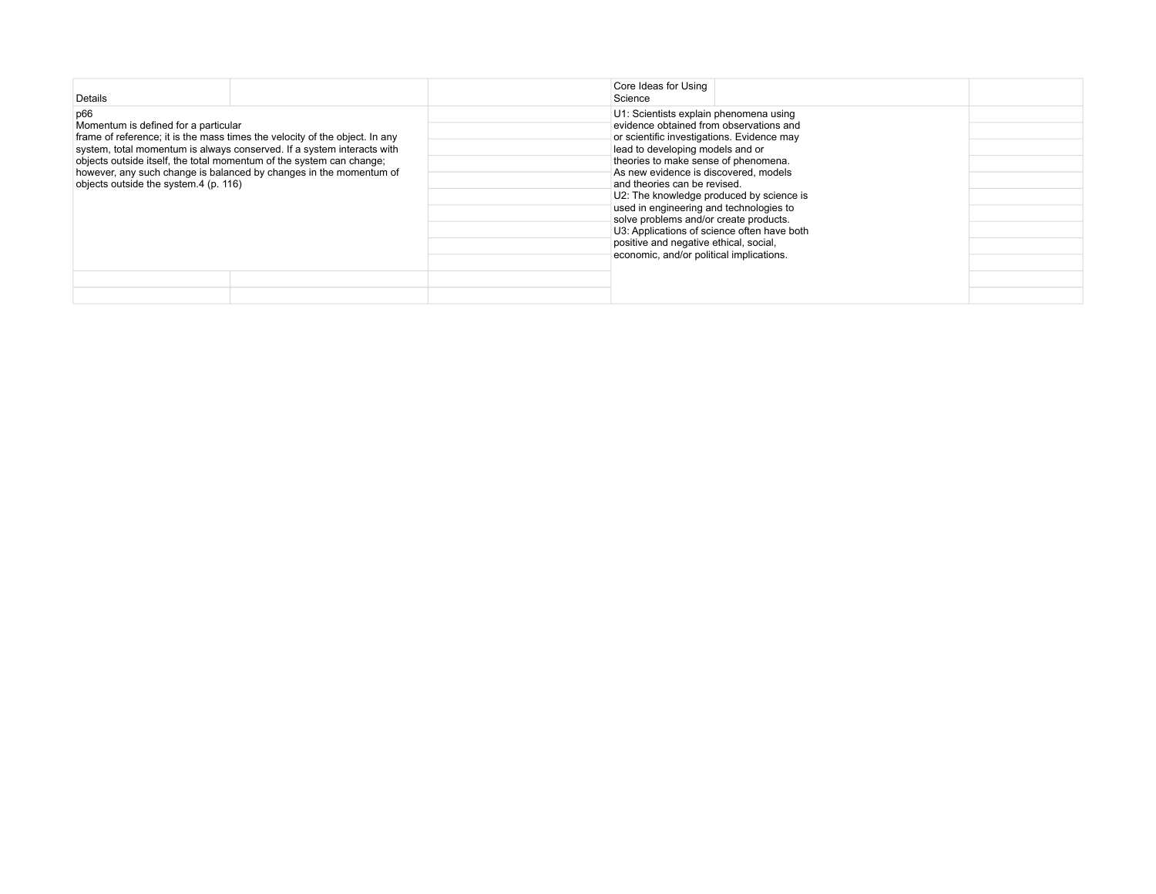| <b>Details</b>                                                                                                                                                                                                                                                                                                                                                                              | Core Ideas for Using<br>Science                                                                                                                                                                                                                                                                                                                                                                                                                                                                                                                            |  |
|---------------------------------------------------------------------------------------------------------------------------------------------------------------------------------------------------------------------------------------------------------------------------------------------------------------------------------------------------------------------------------------------|------------------------------------------------------------------------------------------------------------------------------------------------------------------------------------------------------------------------------------------------------------------------------------------------------------------------------------------------------------------------------------------------------------------------------------------------------------------------------------------------------------------------------------------------------------|--|
| p66<br>Momentum is defined for a particular<br>frame of reference; it is the mass times the velocity of the object. In any<br>system, total momentum is always conserved. If a system interacts with<br>objects outside itself, the total momentum of the system can change;<br>however, any such change is balanced by changes in the momentum of<br>objects outside the system.4 (p. 116) | U1: Scientists explain phenomena using<br>evidence obtained from observations and<br>or scientific investigations. Evidence may<br>lead to developing models and or<br>theories to make sense of phenomena.<br>As new evidence is discovered, models<br>and theories can be revised.<br>U2: The knowledge produced by science is<br>used in engineering and technologies to<br>solve problems and/or create products.<br>U3: Applications of science often have both<br>positive and negative ethical, social,<br>economic, and/or political implications. |  |
|                                                                                                                                                                                                                                                                                                                                                                                             |                                                                                                                                                                                                                                                                                                                                                                                                                                                                                                                                                            |  |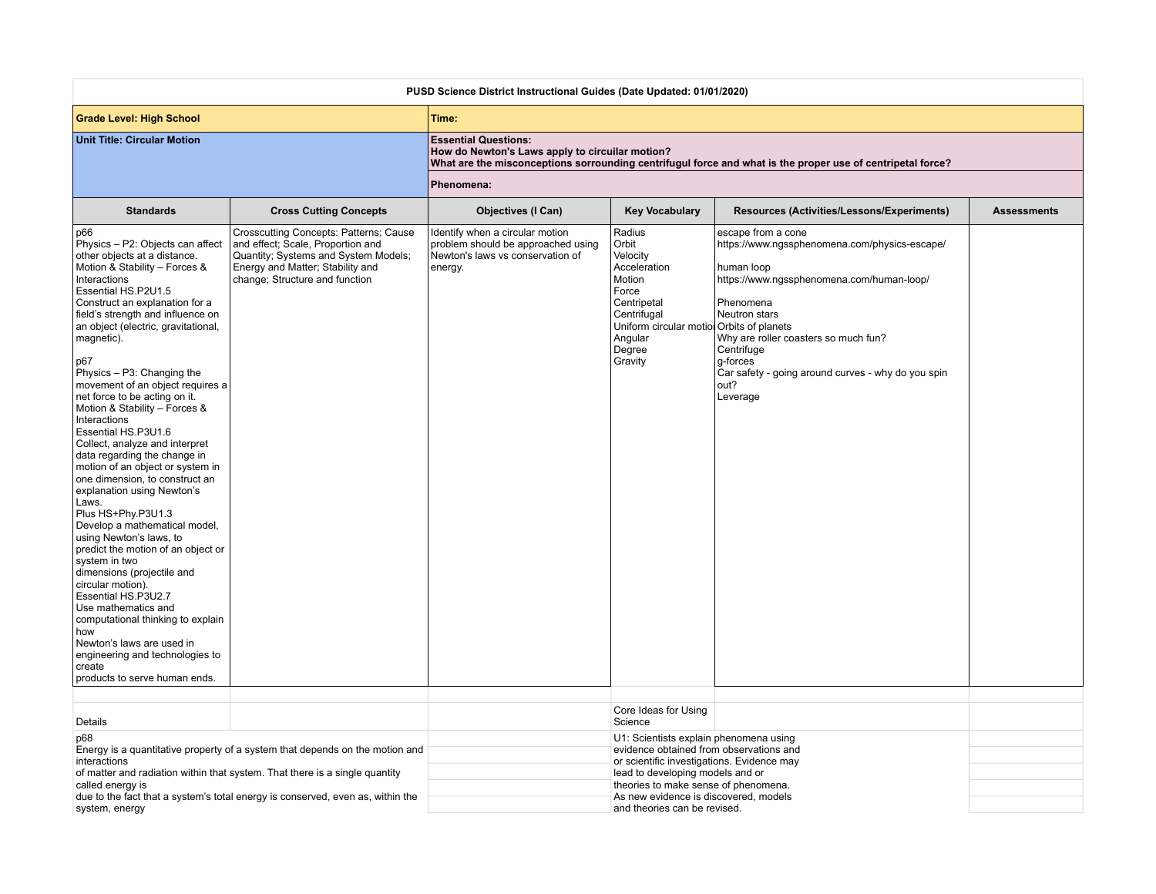| PUSD Science District Instructional Guides (Date Updated: 01/01/2020)                                                |                                                                                                                                                                |                                                                                                                                                                                                                                                                                                          |                                                                                                                    |  |  |
|----------------------------------------------------------------------------------------------------------------------|----------------------------------------------------------------------------------------------------------------------------------------------------------------|----------------------------------------------------------------------------------------------------------------------------------------------------------------------------------------------------------------------------------------------------------------------------------------------------------|--------------------------------------------------------------------------------------------------------------------|--|--|
| Time:                                                                                                                |                                                                                                                                                                |                                                                                                                                                                                                                                                                                                          |                                                                                                                    |  |  |
| <b>Essential Questions:</b>                                                                                          | How do Newton's Laws apply to circuilar motion?<br>What are the misconceptions sorrounding centrifugul force and what is the proper use of centripetal force?  |                                                                                                                                                                                                                                                                                                          |                                                                                                                    |  |  |
| Phenomena:                                                                                                           |                                                                                                                                                                |                                                                                                                                                                                                                                                                                                          |                                                                                                                    |  |  |
| <b>Objectives (I Can)</b>                                                                                            | <b>Key Vocabulary</b>                                                                                                                                          | Resources (Activities/Lessons/Experiments)                                                                                                                                                                                                                                                               | <b>Assessments</b>                                                                                                 |  |  |
| Identify when a circular motion<br>problem should be approached using<br>Newton's laws vs conservation of<br>energy. | Radius<br>Orbit<br>Velocity<br>Acceleration<br>Motion<br>Force<br>Centripetal<br>Centrifugal<br>Angular<br>Degree<br>Gravity                                   | escape from a cone<br>https://www.ngssphenomena.com/physics-escape/<br>human loop<br>https://www.ngssphenomena.com/human-loop/<br>Phenomena<br>Neutron stars<br>Why are roller coasters so much fun?<br>Centrifuge<br>g-forces<br>Car safety - going around curves - why do you spin<br>out?<br>Leverage |                                                                                                                    |  |  |
|                                                                                                                      |                                                                                                                                                                |                                                                                                                                                                                                                                                                                                          |                                                                                                                    |  |  |
|                                                                                                                      | Science                                                                                                                                                        |                                                                                                                                                                                                                                                                                                          |                                                                                                                    |  |  |
|                                                                                                                      |                                                                                                                                                                | U1: Scientists explain phenomena using<br>evidence obtained from observations and<br>or scientific investigations. Evidence may<br>lead to developing models and or<br>theories to make sense of phenomena.                                                                                              |                                                                                                                    |  |  |
| Crosscutting Concepts: Patterns; Cause                                                                               | Energy is a quantitative property of a system that depends on the motion and<br>due to the fact that a system's total energy is conserved, even as, within the | Core Ideas for Using                                                                                                                                                                                                                                                                                     | Uniform circular motiol Orbits of planets<br>As new evidence is discovered, models<br>and theories can be revised. |  |  |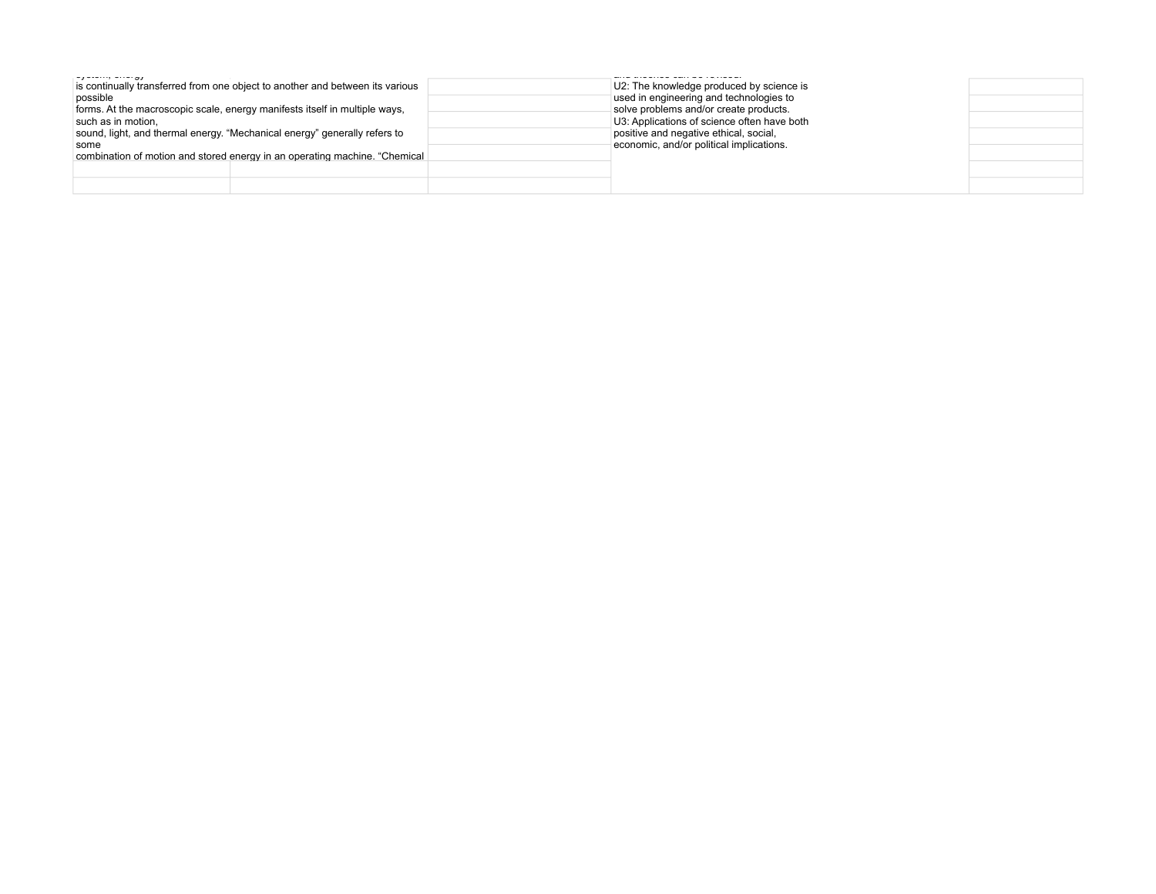| الارون المسالين المستنب والمستنب<br>possible<br>such as in motion,<br>some | is continually transferred from one object to another and between its various<br>forms. At the macroscopic scale, energy manifests itself in multiple ways,<br>sound, light, and thermal energy. "Mechanical energy" generally refers to<br>combination of motion and stored energy in an operating machine. "Chemical | U2: The knowledge produced by science is<br>used in engineering and technologies to<br>solve problems and/or create products.<br>U3: Applications of science often have both<br>positive and negative ethical, social,<br>economic, and/or political implications. |  |
|----------------------------------------------------------------------------|------------------------------------------------------------------------------------------------------------------------------------------------------------------------------------------------------------------------------------------------------------------------------------------------------------------------|--------------------------------------------------------------------------------------------------------------------------------------------------------------------------------------------------------------------------------------------------------------------|--|
|                                                                            |                                                                                                                                                                                                                                                                                                                        |                                                                                                                                                                                                                                                                    |  |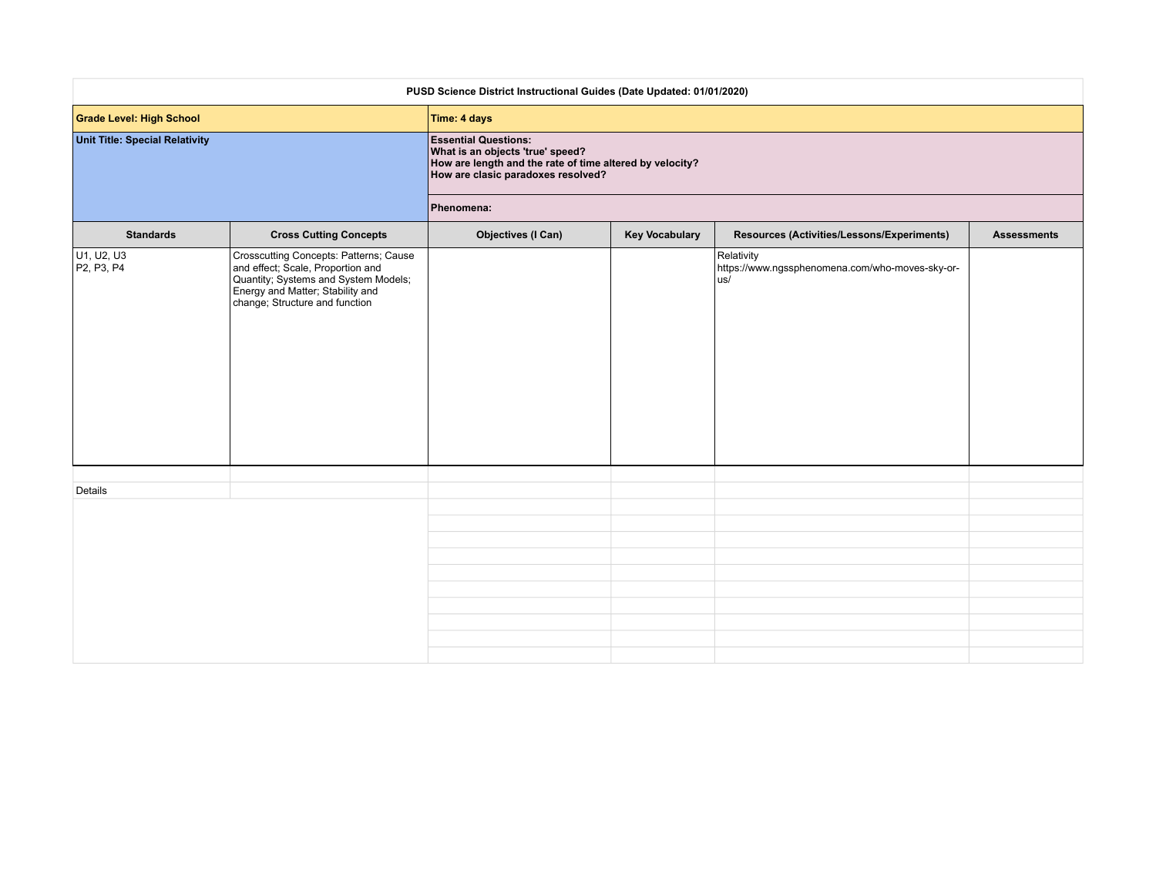| PUSD Science District Instructional Guides (Date Updated: 01/01/2020) |                                                                                                                                                                                           |                                                                                                                                                                   |                       |                                                                      |                    |
|-----------------------------------------------------------------------|-------------------------------------------------------------------------------------------------------------------------------------------------------------------------------------------|-------------------------------------------------------------------------------------------------------------------------------------------------------------------|-----------------------|----------------------------------------------------------------------|--------------------|
| <b>Grade Level: High School</b>                                       |                                                                                                                                                                                           | Time: 4 days                                                                                                                                                      |                       |                                                                      |                    |
| <b>Unit Title: Special Relativity</b>                                 |                                                                                                                                                                                           | <b>Essential Questions:</b><br>What is an objects 'true' speed?<br>How are length and the rate of time altered by velocity?<br>How are clasic paradoxes resolved? |                       |                                                                      |                    |
|                                                                       |                                                                                                                                                                                           | Phenomena:                                                                                                                                                        |                       |                                                                      |                    |
| <b>Standards</b>                                                      | <b>Cross Cutting Concepts</b>                                                                                                                                                             | <b>Objectives (I Can)</b>                                                                                                                                         | <b>Key Vocabulary</b> | Resources (Activities/Lessons/Experiments)                           | <b>Assessments</b> |
| U <sub>1</sub> , U <sub>2</sub> , U <sub>3</sub><br>P2, P3, P4        | Crosscutting Concepts: Patterns; Cause<br>and effect; Scale, Proportion and<br>Quantity; Systems and System Models;<br>Energy and Matter; Stability and<br>change; Structure and function |                                                                                                                                                                   |                       | Relativity<br>https://www.ngssphenomena.com/who-moves-sky-or-<br>us/ |                    |
| Details                                                               |                                                                                                                                                                                           |                                                                                                                                                                   |                       |                                                                      |                    |
|                                                                       |                                                                                                                                                                                           |                                                                                                                                                                   |                       |                                                                      |                    |
|                                                                       |                                                                                                                                                                                           |                                                                                                                                                                   |                       |                                                                      |                    |
|                                                                       |                                                                                                                                                                                           |                                                                                                                                                                   |                       |                                                                      |                    |
|                                                                       |                                                                                                                                                                                           |                                                                                                                                                                   |                       |                                                                      |                    |
|                                                                       |                                                                                                                                                                                           |                                                                                                                                                                   |                       |                                                                      |                    |
|                                                                       |                                                                                                                                                                                           |                                                                                                                                                                   |                       |                                                                      |                    |
|                                                                       |                                                                                                                                                                                           |                                                                                                                                                                   |                       |                                                                      |                    |
|                                                                       |                                                                                                                                                                                           |                                                                                                                                                                   |                       |                                                                      |                    |
|                                                                       |                                                                                                                                                                                           |                                                                                                                                                                   |                       |                                                                      |                    |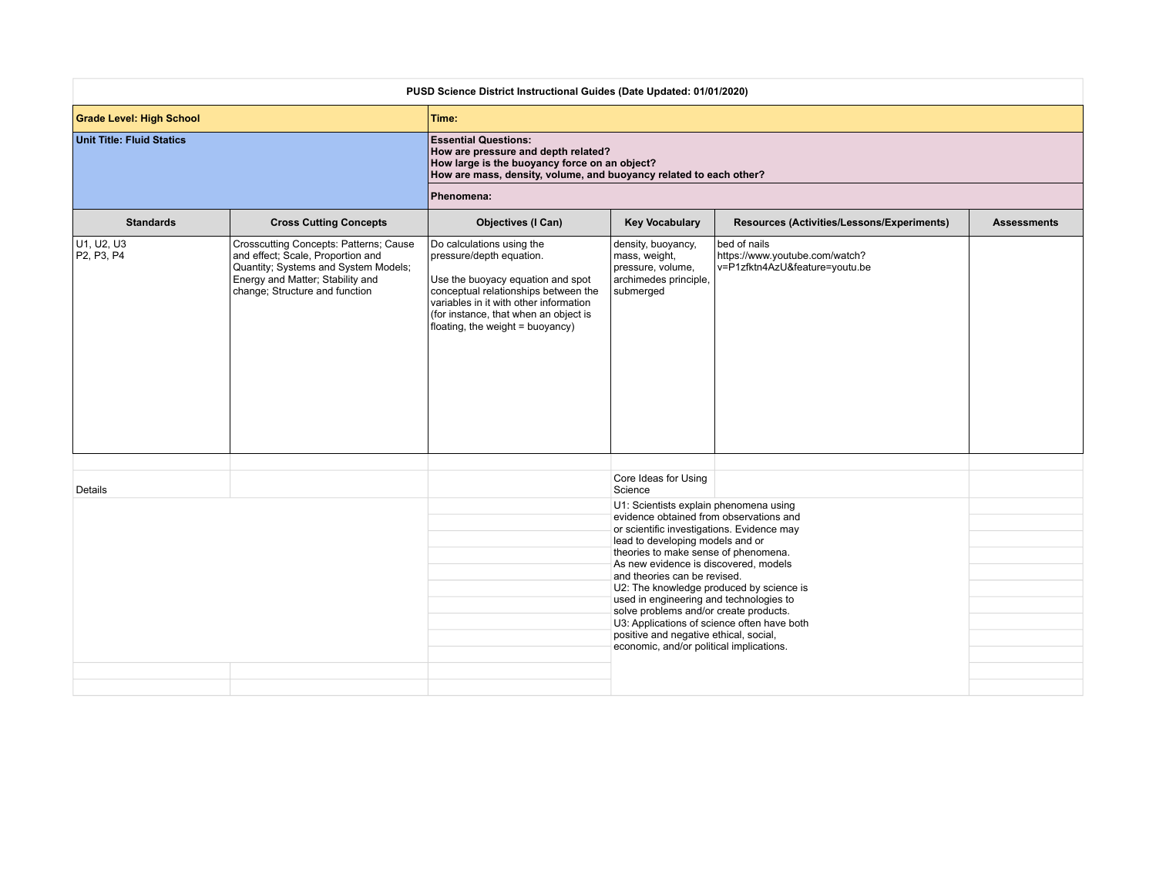| PUSD Science District Instructional Guides (Date Updated: 01/01/2020) |                                                                                                                                                                                           |                                                                                                                                                                                                                                                           |                                                                                                |                                                                                  |                    |
|-----------------------------------------------------------------------|-------------------------------------------------------------------------------------------------------------------------------------------------------------------------------------------|-----------------------------------------------------------------------------------------------------------------------------------------------------------------------------------------------------------------------------------------------------------|------------------------------------------------------------------------------------------------|----------------------------------------------------------------------------------|--------------------|
| <b>Grade Level: High School</b>                                       |                                                                                                                                                                                           | Time:                                                                                                                                                                                                                                                     |                                                                                                |                                                                                  |                    |
| <b>Unit Title: Fluid Statics</b>                                      |                                                                                                                                                                                           | <b>Essential Questions:</b><br>How are pressure and depth related?<br>How large is the buoyancy force on an object?<br>How are mass, density, volume, and buoyancy related to each other?                                                                 |                                                                                                |                                                                                  |                    |
|                                                                       |                                                                                                                                                                                           | Phenomena:                                                                                                                                                                                                                                                |                                                                                                |                                                                                  |                    |
| <b>Standards</b>                                                      | <b>Cross Cutting Concepts</b>                                                                                                                                                             | <b>Objectives (I Can)</b>                                                                                                                                                                                                                                 | <b>Key Vocabulary</b>                                                                          | Resources (Activities/Lessons/Experiments)                                       | <b>Assessments</b> |
| U1, U2, U3<br>P2, P3, P4                                              | Crosscutting Concepts: Patterns; Cause<br>and effect; Scale, Proportion and<br>Quantity; Systems and System Models;<br>Energy and Matter; Stability and<br>change; Structure and function | Do calculations using the<br>pressure/depth equation.<br>Use the buoyacy equation and spot<br>conceptual relationships between the<br>variables in it with other information<br>(for instance, that when an object is<br>floating, the weight = buoyancy) | density, buoyancy,<br>mass, weight,<br>pressure, volume,<br>archimedes principle,<br>submerged | bed of nails<br>https://www.youtube.com/watch?<br>v=P1zfktn4AzU&feature=youtu.be |                    |
|                                                                       |                                                                                                                                                                                           |                                                                                                                                                                                                                                                           | Core Ideas for Using                                                                           |                                                                                  |                    |
| Details                                                               |                                                                                                                                                                                           |                                                                                                                                                                                                                                                           | Science                                                                                        |                                                                                  |                    |
|                                                                       |                                                                                                                                                                                           |                                                                                                                                                                                                                                                           | U1: Scientists explain phenomena using<br>evidence obtained from observations and              |                                                                                  |                    |
|                                                                       |                                                                                                                                                                                           |                                                                                                                                                                                                                                                           | or scientific investigations. Evidence may<br>lead to developing models and or                 |                                                                                  |                    |
|                                                                       |                                                                                                                                                                                           |                                                                                                                                                                                                                                                           | theories to make sense of phenomena.<br>As new evidence is discovered, models                  |                                                                                  |                    |
|                                                                       |                                                                                                                                                                                           |                                                                                                                                                                                                                                                           | and theories can be revised.<br>U2: The knowledge produced by science is                       |                                                                                  |                    |
|                                                                       |                                                                                                                                                                                           |                                                                                                                                                                                                                                                           | used in engineering and technologies to                                                        |                                                                                  |                    |
|                                                                       |                                                                                                                                                                                           |                                                                                                                                                                                                                                                           | solve problems and/or create products.<br>U3: Applications of science often have both          |                                                                                  |                    |
|                                                                       |                                                                                                                                                                                           |                                                                                                                                                                                                                                                           | positive and negative ethical, social,<br>economic, and/or political implications.             |                                                                                  |                    |
|                                                                       |                                                                                                                                                                                           |                                                                                                                                                                                                                                                           |                                                                                                |                                                                                  |                    |
|                                                                       |                                                                                                                                                                                           |                                                                                                                                                                                                                                                           |                                                                                                |                                                                                  |                    |
|                                                                       |                                                                                                                                                                                           |                                                                                                                                                                                                                                                           |                                                                                                |                                                                                  |                    |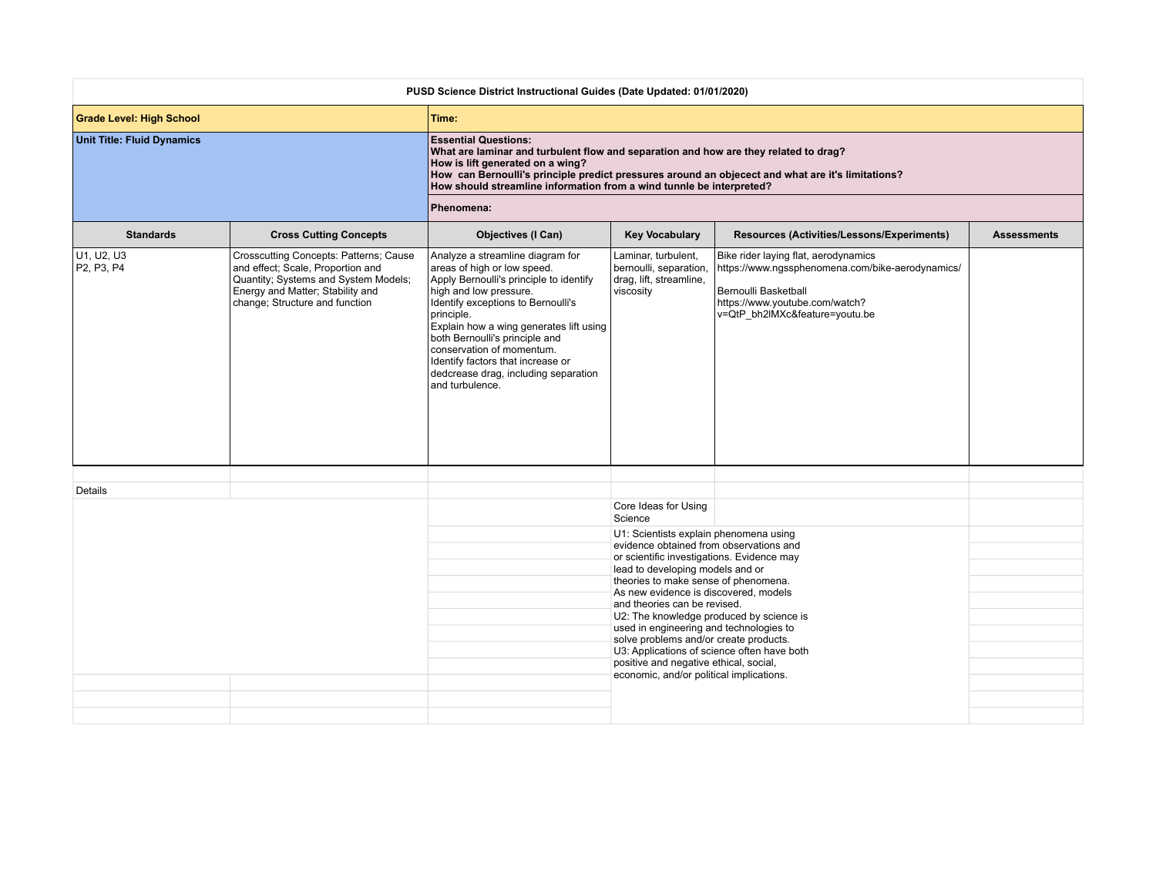| PUSD Science District Instructional Guides (Date Updated: 01/01/2020) |                                                                                                                                                                                           |                                                                                                                                                                                                                                                                                                                                                                                                    |                                                                                                                                                                                                                                                                                                                                                                                                                                                                                                                                                            |                                                                                                                                                                                      |                    |
|-----------------------------------------------------------------------|-------------------------------------------------------------------------------------------------------------------------------------------------------------------------------------------|----------------------------------------------------------------------------------------------------------------------------------------------------------------------------------------------------------------------------------------------------------------------------------------------------------------------------------------------------------------------------------------------------|------------------------------------------------------------------------------------------------------------------------------------------------------------------------------------------------------------------------------------------------------------------------------------------------------------------------------------------------------------------------------------------------------------------------------------------------------------------------------------------------------------------------------------------------------------|--------------------------------------------------------------------------------------------------------------------------------------------------------------------------------------|--------------------|
| <b>Grade Level: High School</b>                                       |                                                                                                                                                                                           | Time:                                                                                                                                                                                                                                                                                                                                                                                              |                                                                                                                                                                                                                                                                                                                                                                                                                                                                                                                                                            |                                                                                                                                                                                      |                    |
| <b>Unit Title: Fluid Dynamics</b>                                     |                                                                                                                                                                                           | <b>Essential Questions:</b><br>What are laminar and turbulent flow and separation and how are they related to drag?<br>How is lift generated on a wing?<br>How can Bernoulli's principle predict pressures around an objecect and what are it's limitations?<br>How should streamline information from a wind tunnle be interpreted?                                                               |                                                                                                                                                                                                                                                                                                                                                                                                                                                                                                                                                            |                                                                                                                                                                                      |                    |
|                                                                       |                                                                                                                                                                                           | Phenomena:                                                                                                                                                                                                                                                                                                                                                                                         |                                                                                                                                                                                                                                                                                                                                                                                                                                                                                                                                                            |                                                                                                                                                                                      |                    |
| <b>Standards</b>                                                      | <b>Cross Cutting Concepts</b>                                                                                                                                                             | <b>Objectives (I Can)</b>                                                                                                                                                                                                                                                                                                                                                                          | <b>Key Vocabulary</b>                                                                                                                                                                                                                                                                                                                                                                                                                                                                                                                                      | Resources (Activities/Lessons/Experiments)                                                                                                                                           | <b>Assessments</b> |
| U1, U2, U3<br>P2, P3, P4                                              | Crosscutting Concepts: Patterns; Cause<br>and effect; Scale, Proportion and<br>Quantity; Systems and System Models;<br>Energy and Matter; Stability and<br>change; Structure and function | Analyze a streamline diagram for<br>areas of high or low speed.<br>Apply Bernoulli's principle to identify<br>high and low pressure.<br>Identify exceptions to Bernoulli's<br>principle.<br>Explain how a wing generates lift using<br>both Bernoulli's principle and<br>conservation of momentum.<br>Identify factors that increase or<br>dedcrease drag, including separation<br>and turbulence. | Laminar, turbulent,<br>bernoulli, separation,<br>drag, lift, streamline,<br>viscosity                                                                                                                                                                                                                                                                                                                                                                                                                                                                      | Bike rider laying flat, aerodynamics<br>https://www.ngssphenomena.com/bike-aerodynamics/<br>Bernoulli Basketball<br>https://www.youtube.com/watch?<br>v=QtP_bh2lMXc&feature=youtu.be |                    |
| Details                                                               |                                                                                                                                                                                           |                                                                                                                                                                                                                                                                                                                                                                                                    |                                                                                                                                                                                                                                                                                                                                                                                                                                                                                                                                                            |                                                                                                                                                                                      |                    |
|                                                                       |                                                                                                                                                                                           |                                                                                                                                                                                                                                                                                                                                                                                                    | Core Ideas for Using<br>Science                                                                                                                                                                                                                                                                                                                                                                                                                                                                                                                            |                                                                                                                                                                                      |                    |
|                                                                       |                                                                                                                                                                                           |                                                                                                                                                                                                                                                                                                                                                                                                    | U1: Scientists explain phenomena using<br>evidence obtained from observations and<br>or scientific investigations. Evidence may<br>lead to developing models and or<br>theories to make sense of phenomena.<br>As new evidence is discovered, models<br>and theories can be revised.<br>U2: The knowledge produced by science is<br>used in engineering and technologies to<br>solve problems and/or create products.<br>U3: Applications of science often have both<br>positive and negative ethical, social,<br>economic, and/or political implications. |                                                                                                                                                                                      |                    |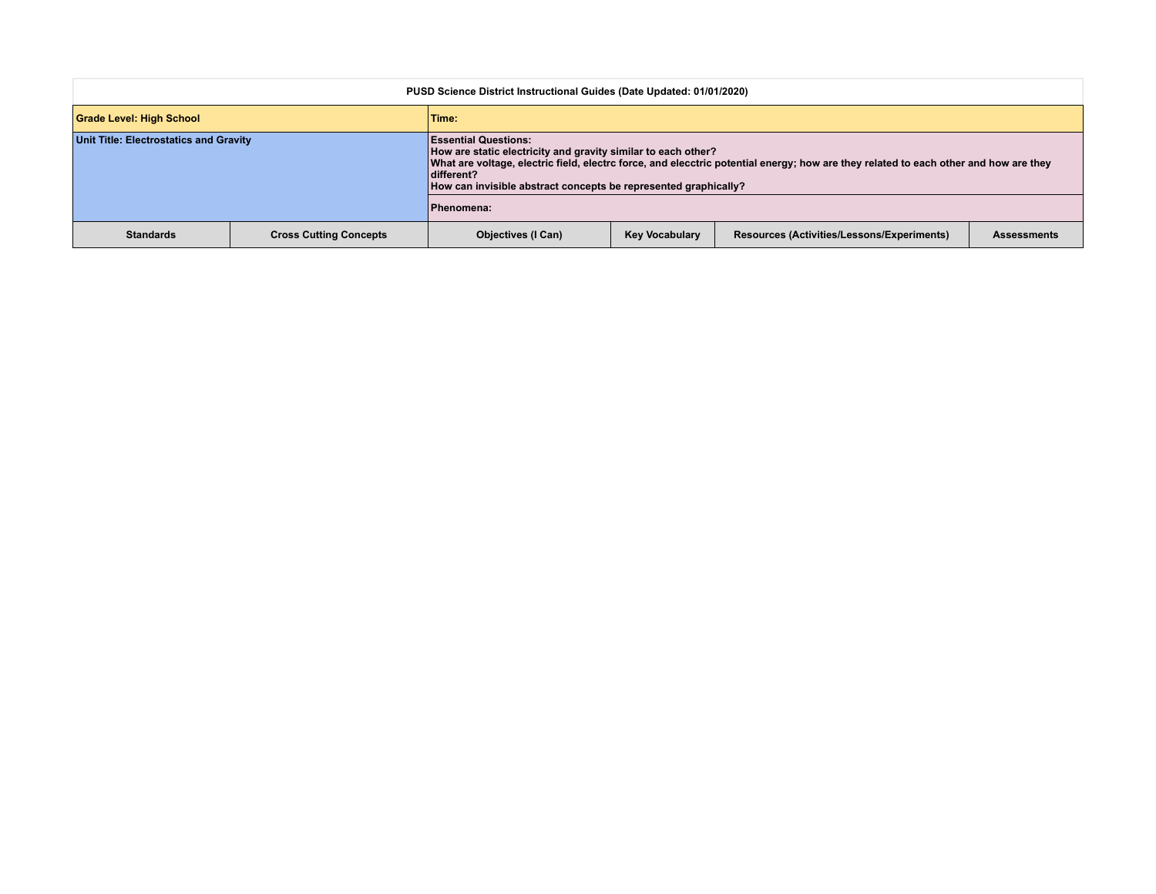| PUSD Science District Instructional Guides (Date Updated: 01/01/2020) |                               |                                                                                                                                                                                                                                                                                                                       |                       |                                            |                    |
|-----------------------------------------------------------------------|-------------------------------|-----------------------------------------------------------------------------------------------------------------------------------------------------------------------------------------------------------------------------------------------------------------------------------------------------------------------|-----------------------|--------------------------------------------|--------------------|
| Grade Level: High School                                              |                               | Time:                                                                                                                                                                                                                                                                                                                 |                       |                                            |                    |
| Unit Title: Electrostatics and Gravity                                |                               | <b>Essential Questions:</b><br>How are static electricity and gravity similar to each other?<br>What are voltage, electric field, electrc force, and elecctric potential energy; how are they related to each other and how are they<br>different?<br>How can invisible abstract concepts be represented graphically? |                       |                                            |                    |
|                                                                       |                               | Phenomena:                                                                                                                                                                                                                                                                                                            |                       |                                            |                    |
| <b>Standards</b>                                                      | <b>Cross Cutting Concepts</b> | <b>Objectives (I Can)</b>                                                                                                                                                                                                                                                                                             | <b>Key Vocabulary</b> | Resources (Activities/Lessons/Experiments) | <b>Assessments</b> |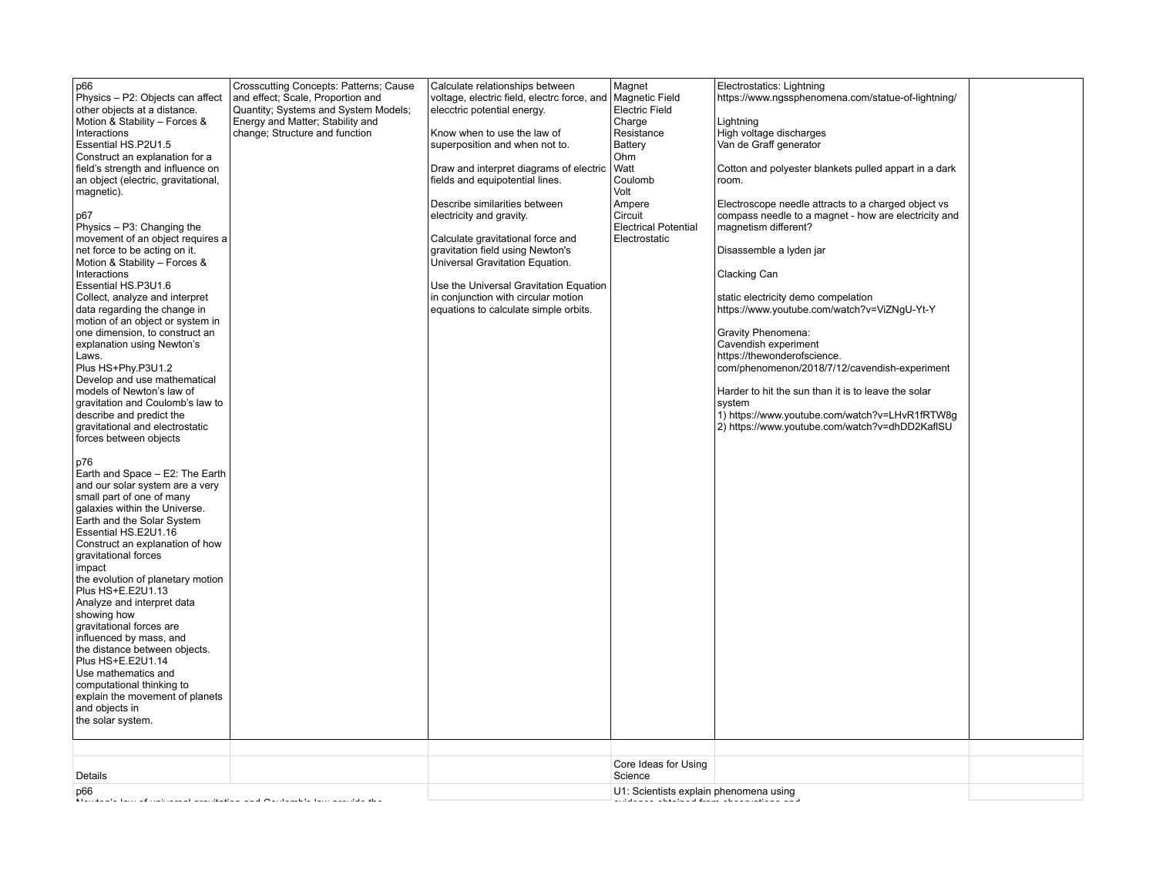| Core Ideas for Using<br>Details<br>Science<br>U1: Scientists explain phenomena using | p66<br>Physics - P2: Objects can affect<br>other objects at a distance.<br>Motion & Stability - Forces &<br>Interactions<br>Essential HS.P2U1.5<br>Construct an explanation for a<br>field's strength and influence on<br>an object (electric, gravitational,<br>magnetic).<br>p67<br>Physics - P3: Changing the<br>movement of an object requires a<br>net force to be acting on it.<br>Motion & Stability - Forces &<br>Interactions<br>Essential HS.P3U1.6<br>Collect, analyze and interpret<br>data regarding the change in<br>motion of an object or system in<br>one dimension, to construct an<br>explanation using Newton's<br>Laws.<br>Plus HS+Phy.P3U1.2<br>Develop and use mathematical<br>models of Newton's law of<br>gravitation and Coulomb's law to<br>describe and predict the<br>gravitational and electrostatic<br>forces between objects<br>p76<br>Earth and Space - E2: The Earth<br>and our solar system are a very<br>small part of one of many<br>galaxies within the Universe.<br>Earth and the Solar System<br>Essential HS.E2U1.16<br>Construct an explanation of how<br>gravitational forces<br>impact<br>the evolution of planetary motion<br>Plus HS+E.E2U1.13<br>Analyze and interpret data<br>showing how<br>gravitational forces are<br>influenced by mass, and<br>the distance between objects.<br>Plus HS+E.E2U1.14<br>Use mathematics and<br>computational thinking to<br>explain the movement of planets<br>and objects in<br>the solar system. | Crosscutting Concepts: Patterns; Cause<br>and effect; Scale, Proportion and<br>Quantity; Systems and System Models;<br>Energy and Matter; Stability and<br>change; Structure and function | Calculate relationships between<br>voltage, electric field, electrc force, and<br>elecctric potential energy.<br>Know when to use the law of<br>superposition and when not to.<br>Draw and interpret diagrams of electric<br>fields and equipotential lines.<br>Describe similarities between<br>electricity and gravity.<br>Calculate gravitational force and<br>gravitation field using Newton's<br>Universal Gravitation Equation.<br>Use the Universal Gravitation Equation<br>in conjunction with circular motion<br>equations to calculate simple orbits. | Magnet<br><b>Magnetic Field</b><br><b>Electric Field</b><br>Charge<br>Resistance<br>Battery<br>Ohm<br>Watt<br>Coulomb<br>Volt<br>Ampere<br>Circuit<br><b>Electrical Potential</b><br>Electrostatic | Electrostatics: Lightning<br>https://www.ngssphenomena.com/statue-of-lightning/<br>Lightning<br>High voltage discharges<br>Van de Graff generator<br>Cotton and polyester blankets pulled appart in a dark<br>room.<br>Electroscope needle attracts to a charged object vs<br>compass needle to a magnet - how are electricity and<br>magnetism different?<br>Disassemble a Iyden jar<br><b>Clacking Can</b><br>static electricity demo compelation<br>https://www.youtube.com/watch?v=ViZNqU-Yt-Y<br>Gravity Phenomena:<br>Cavendish experiment<br>https://thewonderofscience.<br>com/phenomenon/2018/7/12/cavendish-experiment<br>Harder to hit the sun than it is to leave the solar<br>system<br>1) https://www.youtube.com/watch?v=LHvR1fRTW8g<br>2) https://www.youtube.com/watch?v=dhDD2KaflSU |  |
|--------------------------------------------------------------------------------------|--------------------------------------------------------------------------------------------------------------------------------------------------------------------------------------------------------------------------------------------------------------------------------------------------------------------------------------------------------------------------------------------------------------------------------------------------------------------------------------------------------------------------------------------------------------------------------------------------------------------------------------------------------------------------------------------------------------------------------------------------------------------------------------------------------------------------------------------------------------------------------------------------------------------------------------------------------------------------------------------------------------------------------------------------------------------------------------------------------------------------------------------------------------------------------------------------------------------------------------------------------------------------------------------------------------------------------------------------------------------------------------------------------------------------------------------------------------------------------------|-------------------------------------------------------------------------------------------------------------------------------------------------------------------------------------------|-----------------------------------------------------------------------------------------------------------------------------------------------------------------------------------------------------------------------------------------------------------------------------------------------------------------------------------------------------------------------------------------------------------------------------------------------------------------------------------------------------------------------------------------------------------------|----------------------------------------------------------------------------------------------------------------------------------------------------------------------------------------------------|-------------------------------------------------------------------------------------------------------------------------------------------------------------------------------------------------------------------------------------------------------------------------------------------------------------------------------------------------------------------------------------------------------------------------------------------------------------------------------------------------------------------------------------------------------------------------------------------------------------------------------------------------------------------------------------------------------------------------------------------------------------------------------------------------------|--|
|                                                                                      |                                                                                                                                                                                                                                                                                                                                                                                                                                                                                                                                                                                                                                                                                                                                                                                                                                                                                                                                                                                                                                                                                                                                                                                                                                                                                                                                                                                                                                                                                      |                                                                                                                                                                                           |                                                                                                                                                                                                                                                                                                                                                                                                                                                                                                                                                                 |                                                                                                                                                                                                    |                                                                                                                                                                                                                                                                                                                                                                                                                                                                                                                                                                                                                                                                                                                                                                                                       |  |
|                                                                                      | p66                                                                                                                                                                                                                                                                                                                                                                                                                                                                                                                                                                                                                                                                                                                                                                                                                                                                                                                                                                                                                                                                                                                                                                                                                                                                                                                                                                                                                                                                                  |                                                                                                                                                                                           |                                                                                                                                                                                                                                                                                                                                                                                                                                                                                                                                                                 |                                                                                                                                                                                                    |                                                                                                                                                                                                                                                                                                                                                                                                                                                                                                                                                                                                                                                                                                                                                                                                       |  |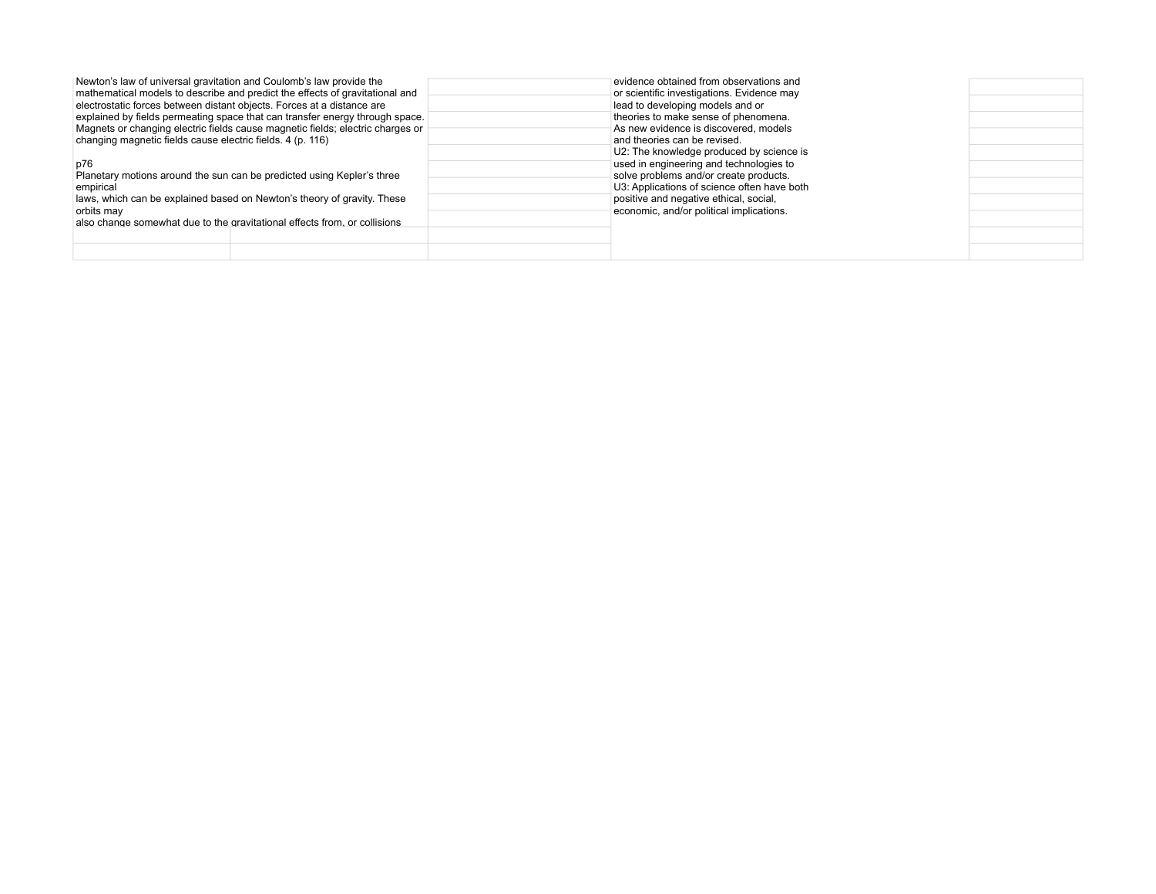| Newton's law of universal gravitation and Coulomb's law provide the<br>mathematical models to describe and predict the effects of gravitational and<br>electrostatic forces between distant objects. Forces at a distance are<br>explained by fields permeating space that can transfer energy through space.<br>Magnets or changing electric fields cause magnetic fields; electric charges or<br>changing magnetic fields cause electric fields. 4 (p. 116)<br>p76<br>Planetary motions around the sun can be predicted using Kepler's three<br>empirical<br>laws, which can be explained based on Newton's theory of gravity. These<br>orbits may<br>also change somewhat due to the gravitational effects from, or collisions | evidence obtained from observations and<br>or scientific investigations. Evidence may<br>lead to developing models and or<br>theories to make sense of phenomena.<br>As new evidence is discovered, models<br>and theories can be revised.<br>U2: The knowledge produced by science is<br>used in engineering and technologies to<br>solve problems and/or create products.<br>U3: Applications of science often have both<br>positive and negative ethical, social,<br>economic, and/or political implications. |  |
|-----------------------------------------------------------------------------------------------------------------------------------------------------------------------------------------------------------------------------------------------------------------------------------------------------------------------------------------------------------------------------------------------------------------------------------------------------------------------------------------------------------------------------------------------------------------------------------------------------------------------------------------------------------------------------------------------------------------------------------|------------------------------------------------------------------------------------------------------------------------------------------------------------------------------------------------------------------------------------------------------------------------------------------------------------------------------------------------------------------------------------------------------------------------------------------------------------------------------------------------------------------|--|
|-----------------------------------------------------------------------------------------------------------------------------------------------------------------------------------------------------------------------------------------------------------------------------------------------------------------------------------------------------------------------------------------------------------------------------------------------------------------------------------------------------------------------------------------------------------------------------------------------------------------------------------------------------------------------------------------------------------------------------------|------------------------------------------------------------------------------------------------------------------------------------------------------------------------------------------------------------------------------------------------------------------------------------------------------------------------------------------------------------------------------------------------------------------------------------------------------------------------------------------------------------------|--|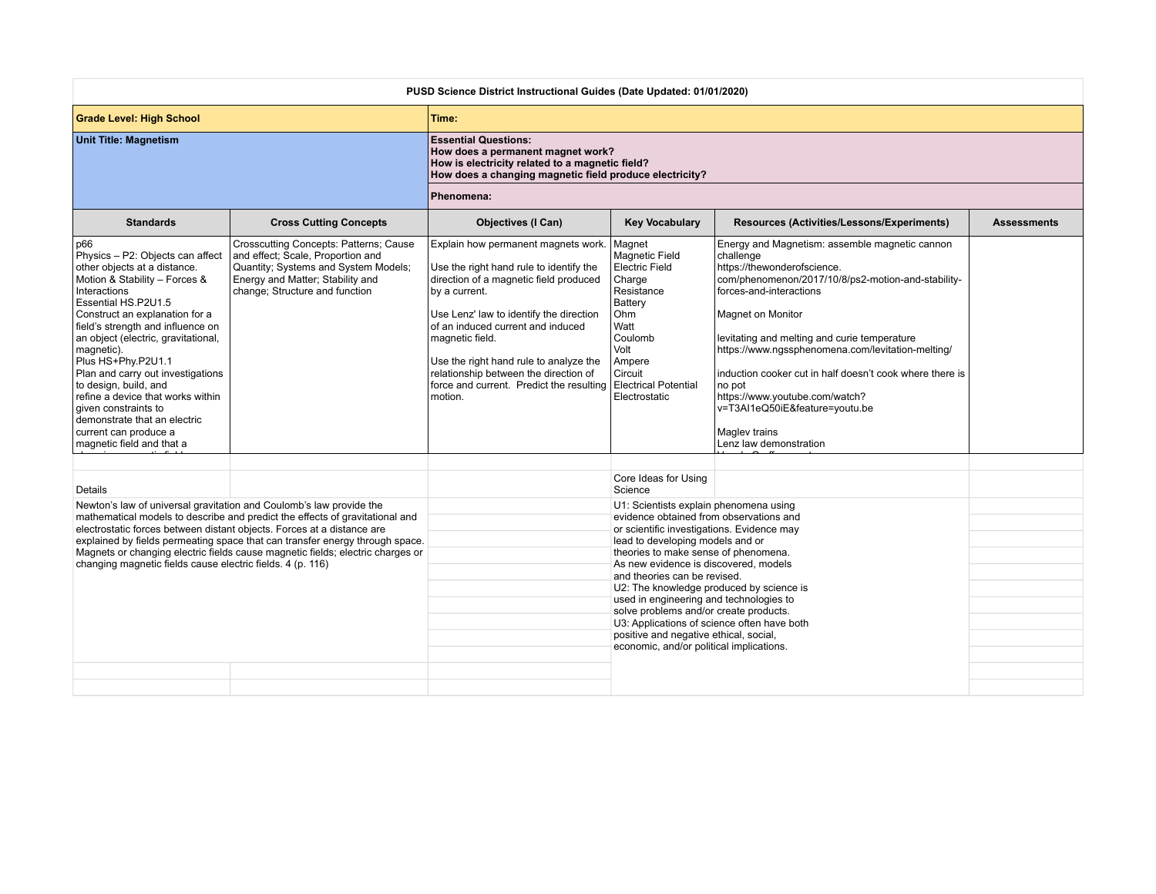|                                                                                                                                                                                                                                                                                                                                                                                                                                                                                                                    | PUSD Science District Instructional Guides (Date Updated: 01/01/2020)                                                                                                                     |                                                                                                                                                                                                                                                                                                                                                                                                             |                                                                                                                                                                                                                                                                                                                                                                                                                                                                                                                                                            |                                                                                                                                                                                                                                                                                                                                                                                                                                                                                            |                    |
|--------------------------------------------------------------------------------------------------------------------------------------------------------------------------------------------------------------------------------------------------------------------------------------------------------------------------------------------------------------------------------------------------------------------------------------------------------------------------------------------------------------------|-------------------------------------------------------------------------------------------------------------------------------------------------------------------------------------------|-------------------------------------------------------------------------------------------------------------------------------------------------------------------------------------------------------------------------------------------------------------------------------------------------------------------------------------------------------------------------------------------------------------|------------------------------------------------------------------------------------------------------------------------------------------------------------------------------------------------------------------------------------------------------------------------------------------------------------------------------------------------------------------------------------------------------------------------------------------------------------------------------------------------------------------------------------------------------------|--------------------------------------------------------------------------------------------------------------------------------------------------------------------------------------------------------------------------------------------------------------------------------------------------------------------------------------------------------------------------------------------------------------------------------------------------------------------------------------------|--------------------|
| <b>Grade Level: High School</b>                                                                                                                                                                                                                                                                                                                                                                                                                                                                                    |                                                                                                                                                                                           | Time:                                                                                                                                                                                                                                                                                                                                                                                                       |                                                                                                                                                                                                                                                                                                                                                                                                                                                                                                                                                            |                                                                                                                                                                                                                                                                                                                                                                                                                                                                                            |                    |
| <b>Unit Title: Magnetism</b>                                                                                                                                                                                                                                                                                                                                                                                                                                                                                       |                                                                                                                                                                                           | <b>Essential Questions:</b><br>How does a permanent magnet work?<br>How is electricity related to a magnetic field?<br>How does a changing magnetic field produce electricity?                                                                                                                                                                                                                              |                                                                                                                                                                                                                                                                                                                                                                                                                                                                                                                                                            |                                                                                                                                                                                                                                                                                                                                                                                                                                                                                            |                    |
|                                                                                                                                                                                                                                                                                                                                                                                                                                                                                                                    |                                                                                                                                                                                           | Phenomena:                                                                                                                                                                                                                                                                                                                                                                                                  |                                                                                                                                                                                                                                                                                                                                                                                                                                                                                                                                                            |                                                                                                                                                                                                                                                                                                                                                                                                                                                                                            |                    |
| <b>Standards</b>                                                                                                                                                                                                                                                                                                                                                                                                                                                                                                   | <b>Cross Cutting Concepts</b>                                                                                                                                                             | <b>Objectives (I Can)</b>                                                                                                                                                                                                                                                                                                                                                                                   | <b>Key Vocabulary</b>                                                                                                                                                                                                                                                                                                                                                                                                                                                                                                                                      | Resources (Activities/Lessons/Experiments)                                                                                                                                                                                                                                                                                                                                                                                                                                                 | <b>Assessments</b> |
| p66<br>Physics - P2: Objects can affect<br>other objects at a distance.<br>Motion & Stability - Forces &<br>Interactions<br>Essential HS.P2U1.5<br>Construct an explanation for a<br>field's strength and influence on<br>an object (electric, gravitational,<br>magnetic).<br>Plus HS+Phy.P2U1.1<br>Plan and carry out investigations<br>to design, build, and<br>refine a device that works within<br>given constraints to<br>demonstrate that an electric<br>current can produce a<br>magnetic field and that a | Crosscutting Concepts: Patterns; Cause<br>and effect; Scale, Proportion and<br>Quantity; Systems and System Models;<br>Energy and Matter; Stability and<br>change; Structure and function | Explain how permanent magnets work.<br>Use the right hand rule to identify the<br>direction of a magnetic field produced<br>by a current.<br>Use Lenz' law to identify the direction<br>of an induced current and induced<br>magnetic field.<br>Use the right hand rule to analyze the<br>relationship between the direction of<br>force and current. Predict the resulting Electrical Potential<br>motion. | Magnet<br><b>Magnetic Field</b><br><b>Electric Field</b><br>Charge<br>Resistance<br>Battery<br>Ohm<br>Watt<br>Coulomb<br>Volt<br>Ampere<br>Circuit<br>Electrostatic                                                                                                                                                                                                                                                                                                                                                                                        | Energy and Magnetism: assemble magnetic cannon<br>challenge<br>https://thewonderofscience.<br>com/phenomenon/2017/10/8/ps2-motion-and-stability-<br>forces-and-interactions<br>Magnet on Monitor<br>levitating and melting and curie temperature<br>https://www.ngssphenomena.com/levitation-melting/<br>induction cooker cut in half doesn't cook where there is<br>no pot<br>https://www.youtube.com/watch?<br>v=T3AI1eQ50iE&feature=youtu.be<br>Magley trains<br>Lenz law demonstration |                    |
|                                                                                                                                                                                                                                                                                                                                                                                                                                                                                                                    |                                                                                                                                                                                           |                                                                                                                                                                                                                                                                                                                                                                                                             | Core Ideas for Using<br>Science                                                                                                                                                                                                                                                                                                                                                                                                                                                                                                                            |                                                                                                                                                                                                                                                                                                                                                                                                                                                                                            |                    |
| Details<br>Newton's law of universal gravitation and Coulomb's law provide the<br>mathematical models to describe and predict the effects of gravitational and<br>electrostatic forces between distant objects. Forces at a distance are<br>explained by fields permeating space that can transfer energy through space.<br>Magnets or changing electric fields cause magnetic fields; electric charges or<br>changing magnetic fields cause electric fields. 4 (p. 116)                                           |                                                                                                                                                                                           |                                                                                                                                                                                                                                                                                                                                                                                                             | U1: Scientists explain phenomena using<br>evidence obtained from observations and<br>or scientific investigations. Evidence may<br>lead to developing models and or<br>theories to make sense of phenomena.<br>As new evidence is discovered, models<br>and theories can be revised.<br>U2: The knowledge produced by science is<br>used in engineering and technologies to<br>solve problems and/or create products.<br>U3: Applications of science often have both<br>positive and negative ethical, social,<br>economic, and/or political implications. |                                                                                                                                                                                                                                                                                                                                                                                                                                                                                            |                    |
|                                                                                                                                                                                                                                                                                                                                                                                                                                                                                                                    |                                                                                                                                                                                           |                                                                                                                                                                                                                                                                                                                                                                                                             |                                                                                                                                                                                                                                                                                                                                                                                                                                                                                                                                                            |                                                                                                                                                                                                                                                                                                                                                                                                                                                                                            |                    |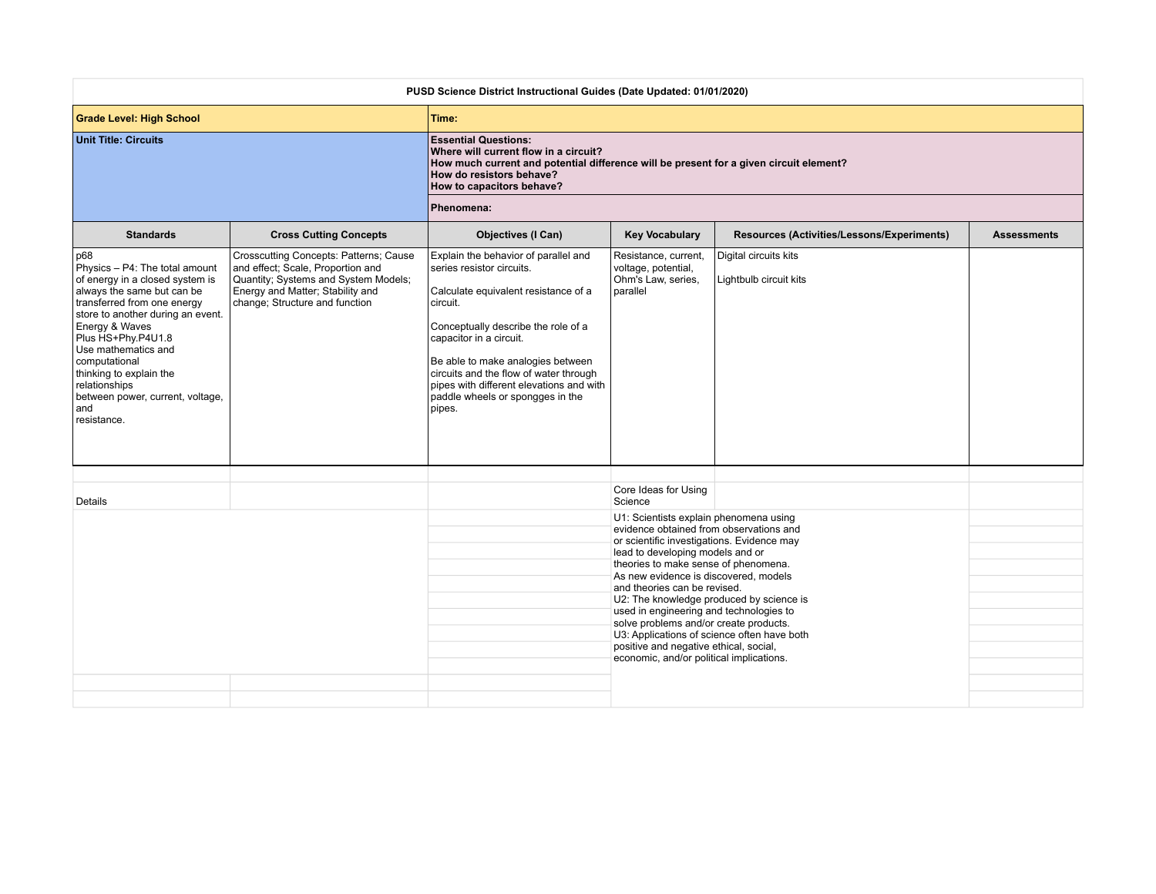| PUSD Science District Instructional Guides (Date Updated: 01/01/2020)                                                                                                                                                                                                                                                                                            |                                                                                                                                                                                           |                                                                                                                                                                                                                                                                                                                                                                  |                                                                                                                                                                                                                                                                                                                                                                                                                                                                                                                                                                       |                                                 |                    |
|------------------------------------------------------------------------------------------------------------------------------------------------------------------------------------------------------------------------------------------------------------------------------------------------------------------------------------------------------------------|-------------------------------------------------------------------------------------------------------------------------------------------------------------------------------------------|------------------------------------------------------------------------------------------------------------------------------------------------------------------------------------------------------------------------------------------------------------------------------------------------------------------------------------------------------------------|-----------------------------------------------------------------------------------------------------------------------------------------------------------------------------------------------------------------------------------------------------------------------------------------------------------------------------------------------------------------------------------------------------------------------------------------------------------------------------------------------------------------------------------------------------------------------|-------------------------------------------------|--------------------|
| <b>Grade Level: High School</b>                                                                                                                                                                                                                                                                                                                                  |                                                                                                                                                                                           | Time:                                                                                                                                                                                                                                                                                                                                                            |                                                                                                                                                                                                                                                                                                                                                                                                                                                                                                                                                                       |                                                 |                    |
| <b>Unit Title: Circuits</b>                                                                                                                                                                                                                                                                                                                                      |                                                                                                                                                                                           | <b>Essential Questions:</b><br>Where will current flow in a circuit?<br>How much current and potential difference will be present for a given circuit element?<br>How do resistors behave?<br>How to capacitors behave?                                                                                                                                          |                                                                                                                                                                                                                                                                                                                                                                                                                                                                                                                                                                       |                                                 |                    |
|                                                                                                                                                                                                                                                                                                                                                                  |                                                                                                                                                                                           | Phenomena:                                                                                                                                                                                                                                                                                                                                                       |                                                                                                                                                                                                                                                                                                                                                                                                                                                                                                                                                                       |                                                 |                    |
| <b>Standards</b>                                                                                                                                                                                                                                                                                                                                                 | <b>Cross Cutting Concepts</b>                                                                                                                                                             | <b>Objectives (I Can)</b>                                                                                                                                                                                                                                                                                                                                        | <b>Key Vocabulary</b>                                                                                                                                                                                                                                                                                                                                                                                                                                                                                                                                                 | Resources (Activities/Lessons/Experiments)      | <b>Assessments</b> |
| p68<br>Physics - P4: The total amount<br>of energy in a closed system is<br>always the same but can be<br>transferred from one energy<br>store to another during an event.<br>Energy & Waves<br>Plus HS+Phy.P4U1.8<br>Use mathematics and<br>computational<br>thinking to explain the<br>relationships<br>between power, current, voltage,<br>and<br>resistance. | Crosscutting Concepts: Patterns; Cause<br>and effect; Scale, Proportion and<br>Quantity; Systems and System Models;<br>Energy and Matter; Stability and<br>change; Structure and function | Explain the behavior of parallel and<br>series resistor circuits.<br>Calculate equivalent resistance of a<br>circuit.<br>Conceptually describe the role of a<br>capacitor in a circuit.<br>Be able to make analogies between<br>circuits and the flow of water through<br>pipes with different elevations and with<br>paddle wheels or spongges in the<br>pipes. | Resistance, current,<br>voltage, potential,<br>Ohm's Law, series,<br>parallel                                                                                                                                                                                                                                                                                                                                                                                                                                                                                         | Digital circuits kits<br>Lightbulb circuit kits |                    |
|                                                                                                                                                                                                                                                                                                                                                                  |                                                                                                                                                                                           |                                                                                                                                                                                                                                                                                                                                                                  | Core Ideas for Using                                                                                                                                                                                                                                                                                                                                                                                                                                                                                                                                                  |                                                 |                    |
| Details                                                                                                                                                                                                                                                                                                                                                          |                                                                                                                                                                                           |                                                                                                                                                                                                                                                                                                                                                                  | Science<br>U1: Scientists explain phenomena using<br>evidence obtained from observations and<br>or scientific investigations. Evidence may<br>lead to developing models and or<br>theories to make sense of phenomena.<br>As new evidence is discovered, models<br>and theories can be revised.<br>U2: The knowledge produced by science is<br>used in engineering and technologies to<br>solve problems and/or create products.<br>U3: Applications of science often have both<br>positive and negative ethical, social,<br>economic, and/or political implications. |                                                 |                    |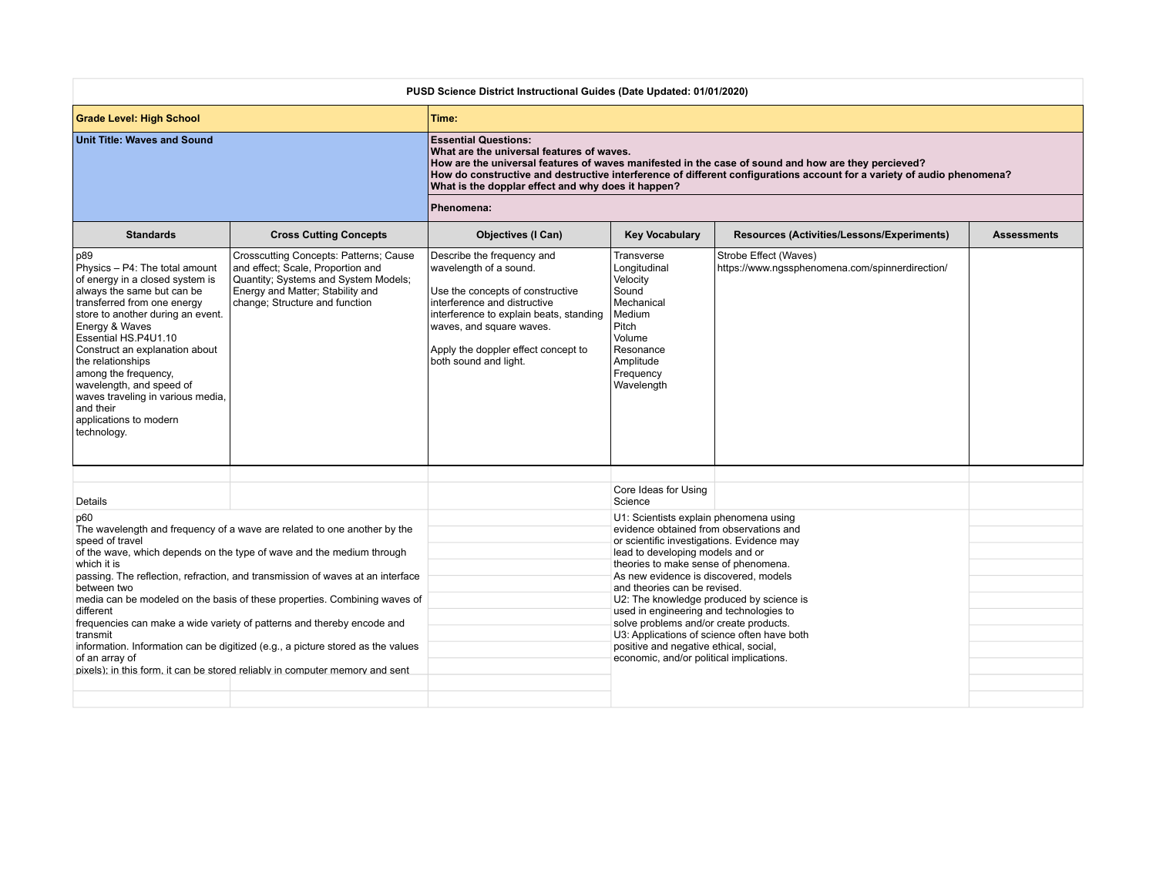| PUSD Science District Instructional Guides (Date Updated: 01/01/2020)                                                                                                                     |                                                                                                                                                                                                                                                                                                                                                                                                                                                                                                                                                               |                                                                                                                                                                                                                                                                                                                                                                                                                                                                                                                  |                                                                            |                                        |
|-------------------------------------------------------------------------------------------------------------------------------------------------------------------------------------------|---------------------------------------------------------------------------------------------------------------------------------------------------------------------------------------------------------------------------------------------------------------------------------------------------------------------------------------------------------------------------------------------------------------------------------------------------------------------------------------------------------------------------------------------------------------|------------------------------------------------------------------------------------------------------------------------------------------------------------------------------------------------------------------------------------------------------------------------------------------------------------------------------------------------------------------------------------------------------------------------------------------------------------------------------------------------------------------|----------------------------------------------------------------------------|----------------------------------------|
|                                                                                                                                                                                           | Time:                                                                                                                                                                                                                                                                                                                                                                                                                                                                                                                                                         |                                                                                                                                                                                                                                                                                                                                                                                                                                                                                                                  |                                                                            |                                        |
|                                                                                                                                                                                           | <b>Essential Questions:</b><br>What are the universal features of waves.<br>How are the universal features of waves manifested in the case of sound and how are they percieved?<br>How do constructive and destructive interference of different configurations account for a variety of audio phenomena?                                                                                                                                                                                                                                                     |                                                                                                                                                                                                                                                                                                                                                                                                                                                                                                                  |                                                                            |                                        |
|                                                                                                                                                                                           | Phenomena:                                                                                                                                                                                                                                                                                                                                                                                                                                                                                                                                                    |                                                                                                                                                                                                                                                                                                                                                                                                                                                                                                                  |                                                                            |                                        |
| <b>Cross Cutting Concepts</b>                                                                                                                                                             | <b>Objectives (I Can)</b>                                                                                                                                                                                                                                                                                                                                                                                                                                                                                                                                     | <b>Key Vocabulary</b>                                                                                                                                                                                                                                                                                                                                                                                                                                                                                            | Resources (Activities/Lessons/Experiments)                                 | <b>Assessments</b>                     |
| Crosscutting Concepts: Patterns; Cause<br>and effect; Scale, Proportion and<br>Quantity; Systems and System Models;<br>Energy and Matter; Stability and<br>change; Structure and function | Describe the frequency and<br>wavelength of a sound.<br>Use the concepts of constructive<br>interference and distructive<br>interference to explain beats, standing<br>waves, and square waves.<br>Apply the doppler effect concept to<br>both sound and light.                                                                                                                                                                                                                                                                                               | Transverse<br>Longitudinal<br>Velocity<br>Sound<br>Mechanical<br>Medium<br>Pitch<br>Volume<br>Resonance<br>Amplitude<br>Frequency<br>Wavelength                                                                                                                                                                                                                                                                                                                                                                  | Strobe Effect (Waves)<br>https://www.ngssphenomena.com/spinnerdirection/   |                                        |
|                                                                                                                                                                                           |                                                                                                                                                                                                                                                                                                                                                                                                                                                                                                                                                               |                                                                                                                                                                                                                                                                                                                                                                                                                                                                                                                  |                                                                            |                                        |
|                                                                                                                                                                                           |                                                                                                                                                                                                                                                                                                                                                                                                                                                                                                                                                               | Science                                                                                                                                                                                                                                                                                                                                                                                                                                                                                                          |                                                                            |                                        |
|                                                                                                                                                                                           |                                                                                                                                                                                                                                                                                                                                                                                                                                                                                                                                                               | evidence obtained from observations and<br>or scientific investigations. Evidence may<br>lead to developing models and or<br>theories to make sense of phenomena.<br>As new evidence is discovered, models<br>and theories can be revised.<br>U2: The knowledge produced by science is<br>used in engineering and technologies to<br>solve problems and/or create products.<br>U3: Applications of science often have both<br>positive and negative ethical, social,<br>economic, and/or political implications. |                                                                            |                                        |
| waves traveling in various media,                                                                                                                                                         | The wavelength and frequency of a wave are related to one another by the<br>of the wave, which depends on the type of wave and the medium through<br>passing. The reflection, refraction, and transmission of waves at an interface<br>media can be modeled on the basis of these properties. Combining waves of<br>frequencies can make a wide variety of patterns and thereby encode and<br>information. Information can be digitized (e.g., a picture stored as the values<br>pixels); in this form, it can be stored reliably in computer memory and sent |                                                                                                                                                                                                                                                                                                                                                                                                                                                                                                                  | What is the dopplar effect and why does it happen?<br>Core Ideas for Using | U1: Scientists explain phenomena using |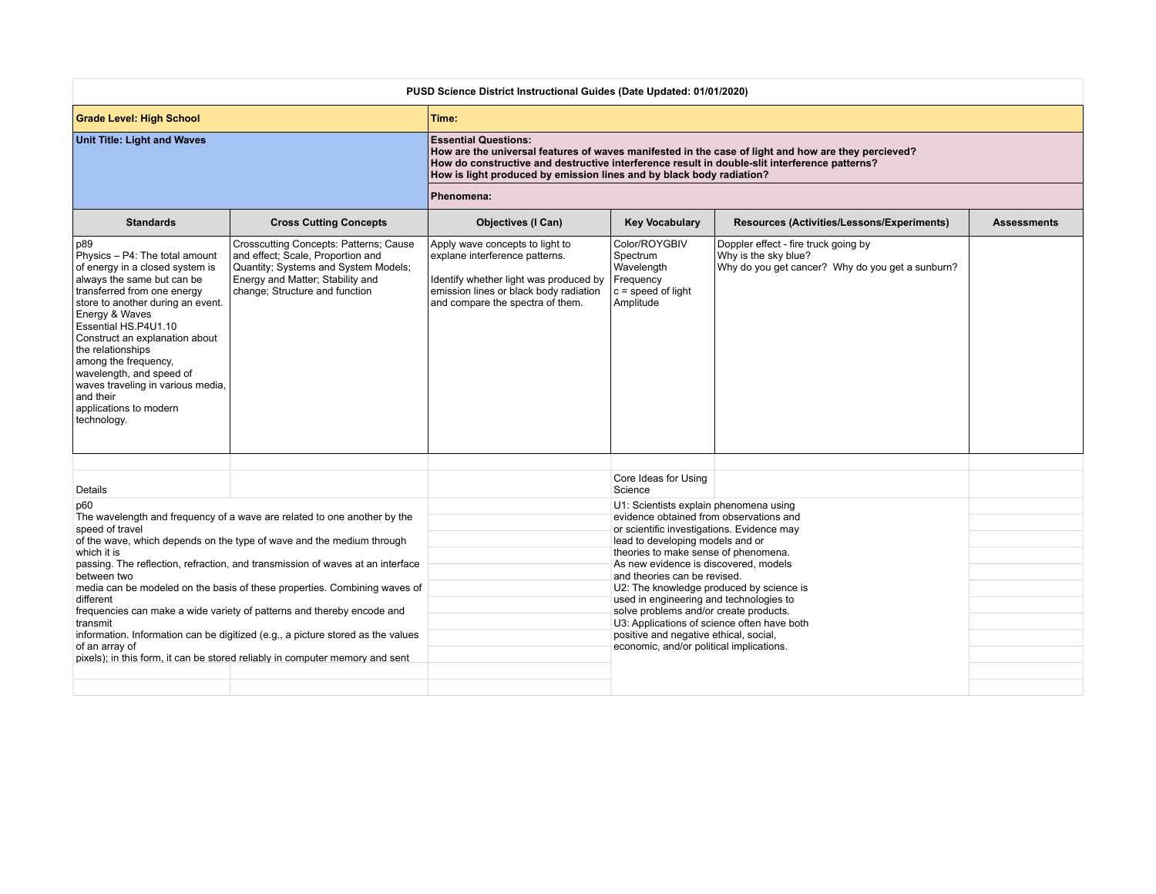| PUSD Science District Instructional Guides (Date Updated: 01/01/2020)                                                                                                                                                                                                                                                                                                                                                      |                                                                                                                                                                                                                                                                                                                                                                                                                                                                                                                                                               |                                                                                                                                                                                                      |                                                                                                                                                                                                                                                                                                                                                                                                                                                                                                                                                            |                                                                                                                  |                    |
|----------------------------------------------------------------------------------------------------------------------------------------------------------------------------------------------------------------------------------------------------------------------------------------------------------------------------------------------------------------------------------------------------------------------------|---------------------------------------------------------------------------------------------------------------------------------------------------------------------------------------------------------------------------------------------------------------------------------------------------------------------------------------------------------------------------------------------------------------------------------------------------------------------------------------------------------------------------------------------------------------|------------------------------------------------------------------------------------------------------------------------------------------------------------------------------------------------------|------------------------------------------------------------------------------------------------------------------------------------------------------------------------------------------------------------------------------------------------------------------------------------------------------------------------------------------------------------------------------------------------------------------------------------------------------------------------------------------------------------------------------------------------------------|------------------------------------------------------------------------------------------------------------------|--------------------|
| <b>Grade Level: High School</b>                                                                                                                                                                                                                                                                                                                                                                                            |                                                                                                                                                                                                                                                                                                                                                                                                                                                                                                                                                               | Time:                                                                                                                                                                                                |                                                                                                                                                                                                                                                                                                                                                                                                                                                                                                                                                            |                                                                                                                  |                    |
| <b>Unit Title: Light and Waves</b>                                                                                                                                                                                                                                                                                                                                                                                         |                                                                                                                                                                                                                                                                                                                                                                                                                                                                                                                                                               | <b>Essential Questions:</b><br>How do constructive and destructive interference result in double-slit interference patterns?<br>How is light produced by emission lines and by black body radiation? |                                                                                                                                                                                                                                                                                                                                                                                                                                                                                                                                                            | How are the universal features of waves manifested in the case of light and how are they percieved?              |                    |
|                                                                                                                                                                                                                                                                                                                                                                                                                            |                                                                                                                                                                                                                                                                                                                                                                                                                                                                                                                                                               | Phenomena:                                                                                                                                                                                           |                                                                                                                                                                                                                                                                                                                                                                                                                                                                                                                                                            |                                                                                                                  |                    |
| <b>Standards</b>                                                                                                                                                                                                                                                                                                                                                                                                           | <b>Cross Cutting Concepts</b>                                                                                                                                                                                                                                                                                                                                                                                                                                                                                                                                 | <b>Objectives (I Can)</b>                                                                                                                                                                            | <b>Key Vocabulary</b>                                                                                                                                                                                                                                                                                                                                                                                                                                                                                                                                      | Resources (Activities/Lessons/Experiments)                                                                       | <b>Assessments</b> |
| p89<br>Physics - P4: The total amount<br>of energy in a closed system is<br>always the same but can be<br>transferred from one energy<br>store to another during an event.<br>Energy & Waves<br>Essential HS.P4U1.10<br>Construct an explanation about<br>the relationships<br>among the frequency,<br>wavelength, and speed of<br>waves traveling in various media,<br>and their<br>applications to modern<br>technology. | Crosscutting Concepts: Patterns; Cause<br>and effect; Scale, Proportion and<br>Quantity; Systems and System Models;<br>Energy and Matter; Stability and<br>change; Structure and function                                                                                                                                                                                                                                                                                                                                                                     | Apply wave concepts to light to<br>explane interference patterns.<br>Identify whether light was produced by<br>emission lines or black body radiation<br>and compare the spectra of them.            | Color/ROYGBIV<br>Spectrum<br>Wavelength<br>Frequency<br>$ c $ = speed of light<br>Amplitude                                                                                                                                                                                                                                                                                                                                                                                                                                                                | Doppler effect - fire truck going by<br>Why is the sky blue?<br>Why do you get cancer? Why do you get a sunburn? |                    |
|                                                                                                                                                                                                                                                                                                                                                                                                                            |                                                                                                                                                                                                                                                                                                                                                                                                                                                                                                                                                               |                                                                                                                                                                                                      | Core Ideas for Using<br>Science                                                                                                                                                                                                                                                                                                                                                                                                                                                                                                                            |                                                                                                                  |                    |
| Details<br>p60<br>speed of travel<br>which it is<br>between two<br>different<br>transmit<br>of an array of                                                                                                                                                                                                                                                                                                                 | The wavelength and frequency of a wave are related to one another by the<br>of the wave, which depends on the type of wave and the medium through<br>passing. The reflection, refraction, and transmission of waves at an interface<br>media can be modeled on the basis of these properties. Combining waves of<br>frequencies can make a wide variety of patterns and thereby encode and<br>information. Information can be digitized (e.g., a picture stored as the values<br>pixels); in this form, it can be stored reliably in computer memory and sent |                                                                                                                                                                                                      | U1: Scientists explain phenomena using<br>evidence obtained from observations and<br>or scientific investigations. Evidence may<br>lead to developing models and or<br>theories to make sense of phenomena.<br>As new evidence is discovered, models<br>and theories can be revised.<br>U2: The knowledge produced by science is<br>used in engineering and technologies to<br>solve problems and/or create products.<br>U3: Applications of science often have both<br>positive and negative ethical, social,<br>economic, and/or political implications. |                                                                                                                  |                    |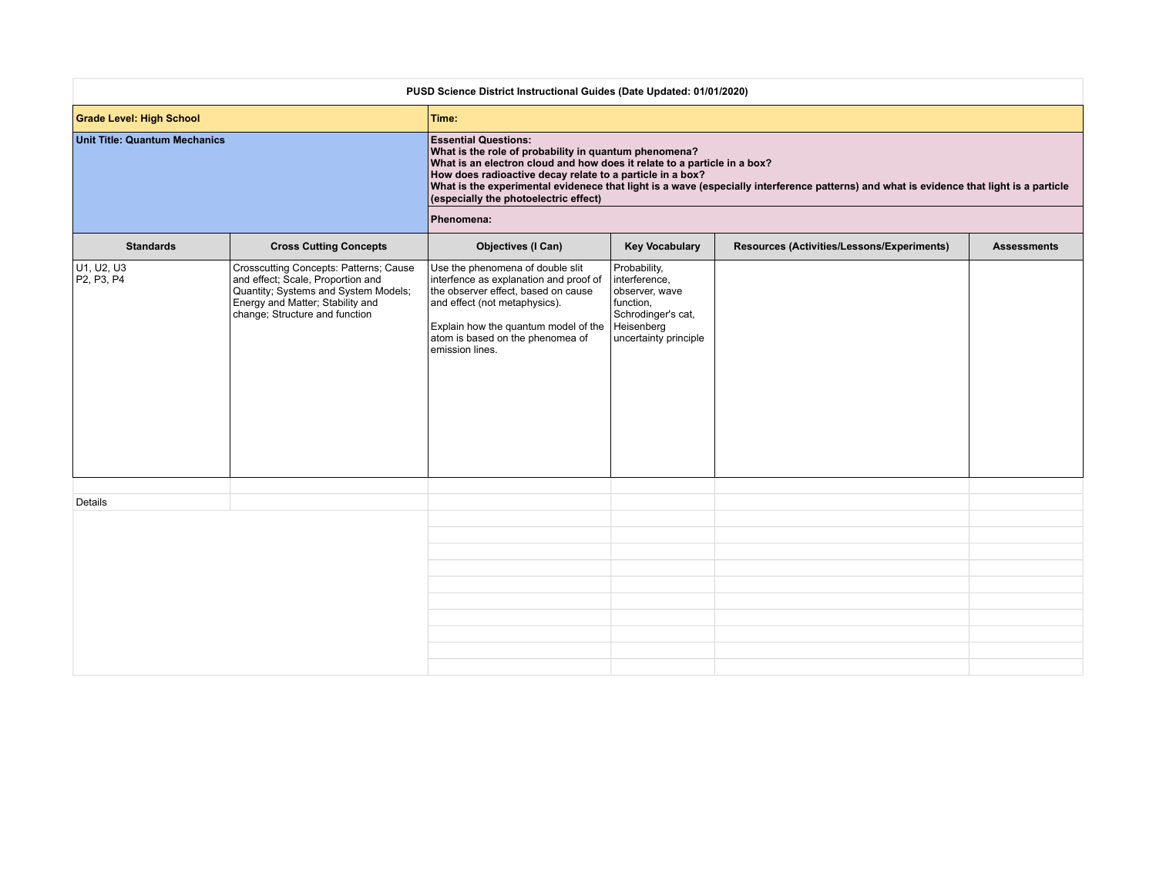| Time:<br><b>Essential Questions:</b><br>What is the role of probability in quantum phenomena?<br>What is an electron cloud and how does it relate to a particle in a box?<br>How does radioactive decay relate to a particle in a box?<br>What is the experimental evidenece that light is a wave (especially interference patterns) and what is evidence that light is a particle<br>(especially the photoelectric effect)<br>Phenomena:<br><b>Cross Cutting Concepts</b><br><b>Objectives (I Can)</b><br><b>Key Vocabulary</b><br>Resources (Activities/Lessons/Experiments)<br><b>Standards</b><br><b>Assessments</b><br>Probability,<br>Crosscutting Concepts: Patterns; Cause<br>Use the phenomena of double slit<br>and effect; Scale, Proportion and<br>interfence as explanation and proof of<br>interference,<br>Quantity; Systems and System Models;<br>the observer effect, based on cause<br>observer, wave<br>Energy and Matter; Stability and<br>and effect (not metaphysics).<br>function,<br>change; Structure and function<br>Schrodinger's cat,<br>Heisenberg<br>Explain how the quantum model of the<br>atom is based on the phenomea of<br>uncertainty principle<br>emission lines.<br>Details | PUSD Science District Instructional Guides (Date Updated: 01/01/2020) |  |  |  |  |  |  |
|--------------------------------------------------------------------------------------------------------------------------------------------------------------------------------------------------------------------------------------------------------------------------------------------------------------------------------------------------------------------------------------------------------------------------------------------------------------------------------------------------------------------------------------------------------------------------------------------------------------------------------------------------------------------------------------------------------------------------------------------------------------------------------------------------------------------------------------------------------------------------------------------------------------------------------------------------------------------------------------------------------------------------------------------------------------------------------------------------------------------------------------------------------------------------------------------------------------------|-----------------------------------------------------------------------|--|--|--|--|--|--|
|                                                                                                                                                                                                                                                                                                                                                                                                                                                                                                                                                                                                                                                                                                                                                                                                                                                                                                                                                                                                                                                                                                                                                                                                                    | <b>Grade Level: High School</b>                                       |  |  |  |  |  |  |
|                                                                                                                                                                                                                                                                                                                                                                                                                                                                                                                                                                                                                                                                                                                                                                                                                                                                                                                                                                                                                                                                                                                                                                                                                    | <b>Unit Title: Quantum Mechanics</b>                                  |  |  |  |  |  |  |
|                                                                                                                                                                                                                                                                                                                                                                                                                                                                                                                                                                                                                                                                                                                                                                                                                                                                                                                                                                                                                                                                                                                                                                                                                    |                                                                       |  |  |  |  |  |  |
|                                                                                                                                                                                                                                                                                                                                                                                                                                                                                                                                                                                                                                                                                                                                                                                                                                                                                                                                                                                                                                                                                                                                                                                                                    |                                                                       |  |  |  |  |  |  |
|                                                                                                                                                                                                                                                                                                                                                                                                                                                                                                                                                                                                                                                                                                                                                                                                                                                                                                                                                                                                                                                                                                                                                                                                                    | U <sub>1</sub> , U <sub>2</sub> , U <sub>3</sub><br>P2, P3, P4        |  |  |  |  |  |  |
|                                                                                                                                                                                                                                                                                                                                                                                                                                                                                                                                                                                                                                                                                                                                                                                                                                                                                                                                                                                                                                                                                                                                                                                                                    |                                                                       |  |  |  |  |  |  |
|                                                                                                                                                                                                                                                                                                                                                                                                                                                                                                                                                                                                                                                                                                                                                                                                                                                                                                                                                                                                                                                                                                                                                                                                                    |                                                                       |  |  |  |  |  |  |
|                                                                                                                                                                                                                                                                                                                                                                                                                                                                                                                                                                                                                                                                                                                                                                                                                                                                                                                                                                                                                                                                                                                                                                                                                    |                                                                       |  |  |  |  |  |  |
|                                                                                                                                                                                                                                                                                                                                                                                                                                                                                                                                                                                                                                                                                                                                                                                                                                                                                                                                                                                                                                                                                                                                                                                                                    |                                                                       |  |  |  |  |  |  |
|                                                                                                                                                                                                                                                                                                                                                                                                                                                                                                                                                                                                                                                                                                                                                                                                                                                                                                                                                                                                                                                                                                                                                                                                                    |                                                                       |  |  |  |  |  |  |
|                                                                                                                                                                                                                                                                                                                                                                                                                                                                                                                                                                                                                                                                                                                                                                                                                                                                                                                                                                                                                                                                                                                                                                                                                    |                                                                       |  |  |  |  |  |  |
|                                                                                                                                                                                                                                                                                                                                                                                                                                                                                                                                                                                                                                                                                                                                                                                                                                                                                                                                                                                                                                                                                                                                                                                                                    |                                                                       |  |  |  |  |  |  |
|                                                                                                                                                                                                                                                                                                                                                                                                                                                                                                                                                                                                                                                                                                                                                                                                                                                                                                                                                                                                                                                                                                                                                                                                                    |                                                                       |  |  |  |  |  |  |
|                                                                                                                                                                                                                                                                                                                                                                                                                                                                                                                                                                                                                                                                                                                                                                                                                                                                                                                                                                                                                                                                                                                                                                                                                    |                                                                       |  |  |  |  |  |  |
|                                                                                                                                                                                                                                                                                                                                                                                                                                                                                                                                                                                                                                                                                                                                                                                                                                                                                                                                                                                                                                                                                                                                                                                                                    |                                                                       |  |  |  |  |  |  |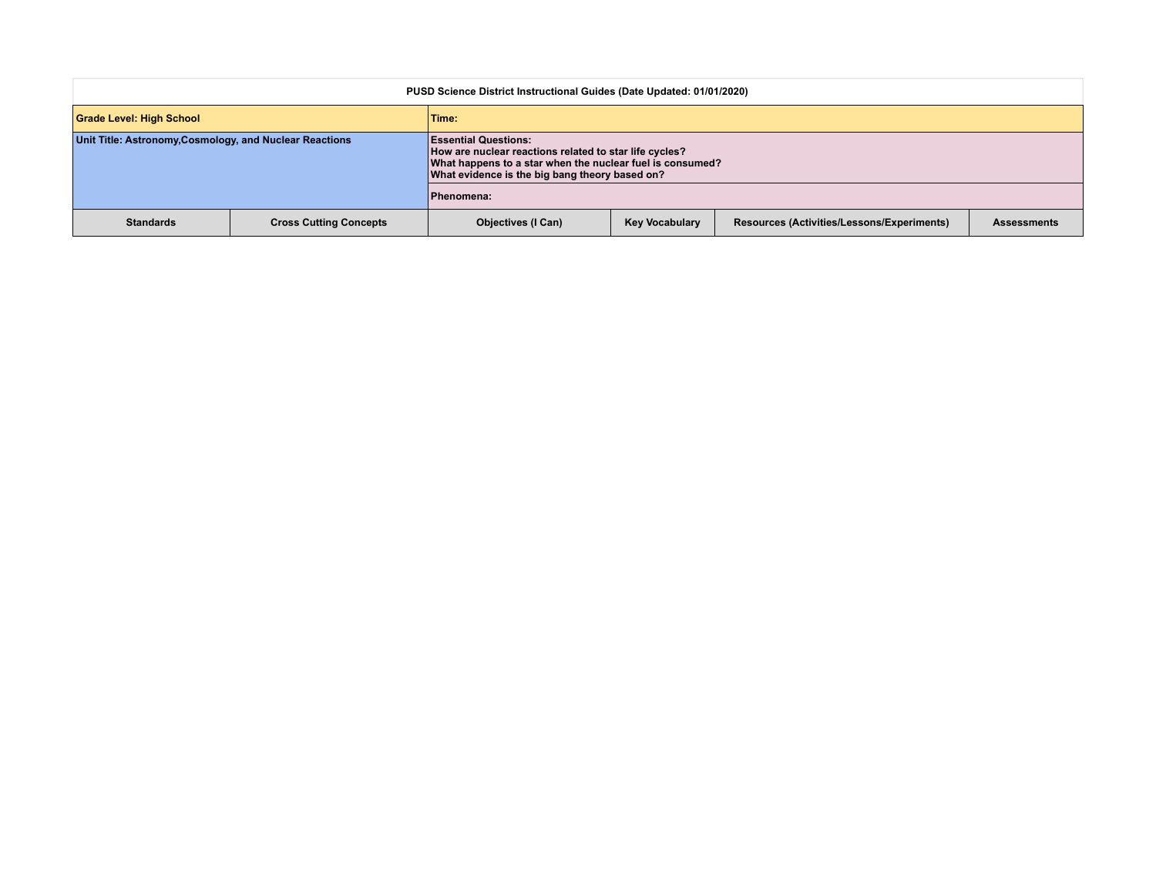| PUSD Science District Instructional Guides (Date Updated: 01/01/2020) |                               |                                                                                                                                                                                                      |                       |                                            |                    |  |
|-----------------------------------------------------------------------|-------------------------------|------------------------------------------------------------------------------------------------------------------------------------------------------------------------------------------------------|-----------------------|--------------------------------------------|--------------------|--|
| <b>Grade Level: High School</b>                                       |                               | Time:                                                                                                                                                                                                |                       |                                            |                    |  |
| Unit Title: Astronomy, Cosmology, and Nuclear Reactions               |                               | <b>Essential Questions:</b><br>How are nuclear reactions related to star life cycles?<br>What happens to a star when the nuclear fuel is consumed?<br>What evidence is the big bang theory based on? |                       |                                            |                    |  |
|                                                                       |                               | Phenomena:                                                                                                                                                                                           |                       |                                            |                    |  |
| <b>Standards</b>                                                      | <b>Cross Cutting Concepts</b> | <b>Objectives (I Can)</b>                                                                                                                                                                            | <b>Key Vocabulary</b> | Resources (Activities/Lessons/Experiments) | <b>Assessments</b> |  |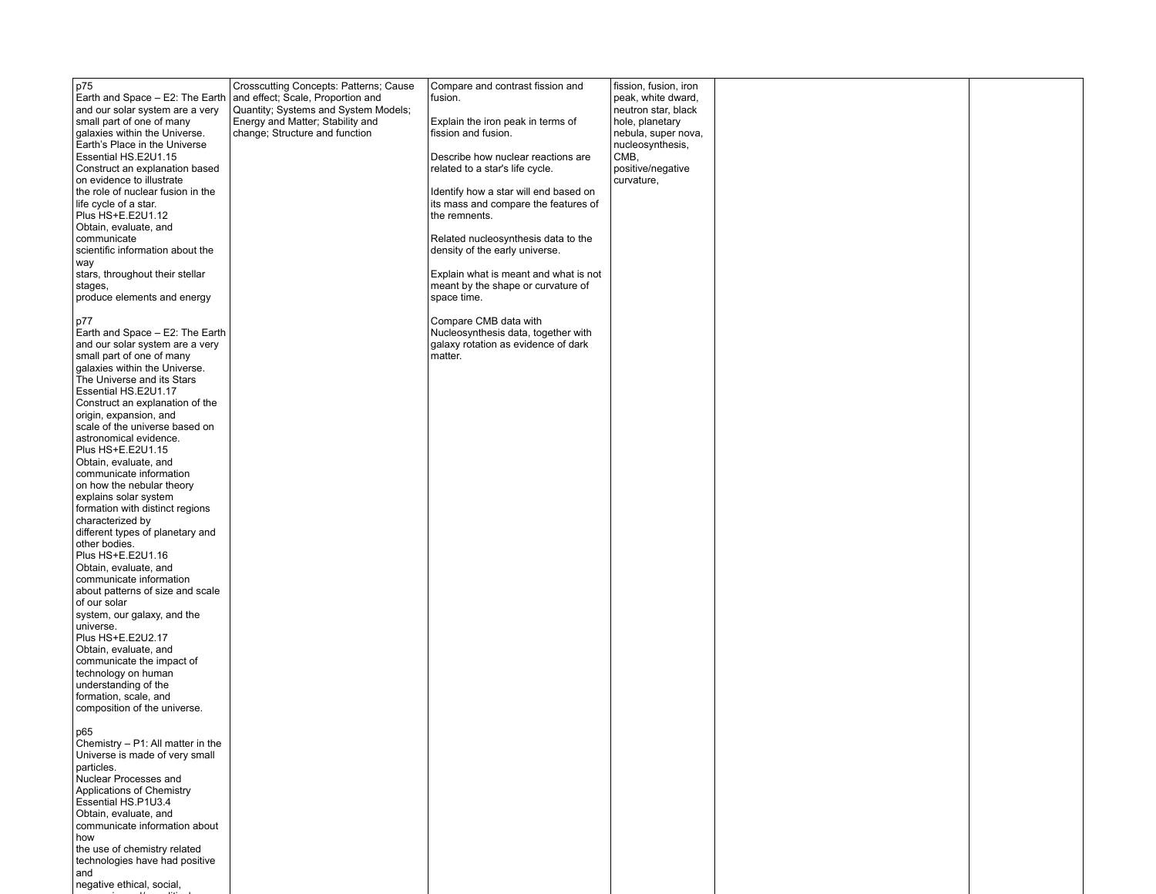| p75<br>Earth and Space - E2: The Earth<br>and our solar system are a very<br>small part of one of many<br>galaxies within the Universe.<br>Earth's Place in the Universe<br>Essential HS.E2U1.15<br>Construct an explanation based<br>on evidence to illustrate<br>the role of nuclear fusion in the<br>life cycle of a star.<br>Plus HS+E.E2U1.12<br>Obtain, evaluate, and<br>communicate<br>scientific information about the<br>way<br>stars, throughout their stellar<br>stages,<br>produce elements and energy<br>p77<br>Earth and Space - E2: The Earth<br>and our solar system are a very<br>small part of one of many<br>galaxies within the Universe.<br>The Universe and its Stars<br>Essential HS.E2U1.17<br>Construct an explanation of the<br>origin, expansion, and<br>scale of the universe based on<br>astronomical evidence.<br>Plus HS+E.E2U1.15<br>Obtain, evaluate, and<br>communicate information<br>on how the nebular theory<br>explains solar system<br>formation with distinct regions<br>characterized by<br>different types of planetary and<br>other bodies.<br>Plus HS+E.E2U1.16<br>Obtain, evaluate, and<br>communicate information<br>about patterns of size and scale<br>of our solar<br>system, our galaxy, and the<br>universe.<br>Plus HS+E.E2U2.17<br>Obtain, evaluate, and<br>communicate the impact of<br>technology on human<br>understanding of the<br>formation, scale, and<br>composition of the universe.<br> p65<br>Chemistry - P1: All matter in the<br>Universe is made of very small<br>particles. | Crosscutting Concepts: Patterns; Cause<br>and effect; Scale, Proportion and<br>Quantity; Systems and System Models;<br>Energy and Matter; Stability and<br>change; Structure and function | Compare and contrast fission and<br>fusion.<br>Explain the iron peak in terms of<br>fission and fusion.<br>Describe how nuclear reactions are<br>related to a star's life cycle.<br>Identify how a star will end based on<br>its mass and compare the features of<br>the remnents.<br>Related nucleosynthesis data to the<br>density of the early universe.<br>Explain what is meant and what is not<br>meant by the shape or curvature of<br>space time.<br>Compare CMB data with<br>Nucleosynthesis data, together with<br>galaxy rotation as evidence of dark<br>matter. | fission, fusion, iron<br>peak, white dward,<br>neutron star, black<br>hole, planetary<br>nebula, super nova,<br>nucleosynthesis,<br>CMB,<br>positive/negative<br>curvature, |  |
|--------------------------------------------------------------------------------------------------------------------------------------------------------------------------------------------------------------------------------------------------------------------------------------------------------------------------------------------------------------------------------------------------------------------------------------------------------------------------------------------------------------------------------------------------------------------------------------------------------------------------------------------------------------------------------------------------------------------------------------------------------------------------------------------------------------------------------------------------------------------------------------------------------------------------------------------------------------------------------------------------------------------------------------------------------------------------------------------------------------------------------------------------------------------------------------------------------------------------------------------------------------------------------------------------------------------------------------------------------------------------------------------------------------------------------------------------------------------------------------------------------------------------------------------------|-------------------------------------------------------------------------------------------------------------------------------------------------------------------------------------------|-----------------------------------------------------------------------------------------------------------------------------------------------------------------------------------------------------------------------------------------------------------------------------------------------------------------------------------------------------------------------------------------------------------------------------------------------------------------------------------------------------------------------------------------------------------------------------|-----------------------------------------------------------------------------------------------------------------------------------------------------------------------------|--|
| Nuclear Processes and<br>Applications of Chemistry<br>Essential HS.P1U3.4<br>Obtain, evaluate, and<br>communicate information about<br>how<br>the use of chemistry related<br>technologies have had positive<br>and<br>negative ethical, social,                                                                                                                                                                                                                                                                                                                                                                                                                                                                                                                                                                                                                                                                                                                                                                                                                                                                                                                                                                                                                                                                                                                                                                                                                                                                                                 |                                                                                                                                                                                           |                                                                                                                                                                                                                                                                                                                                                                                                                                                                                                                                                                             |                                                                                                                                                                             |  |

economic contracts and or political contracts and or political contracts and or political contracts and or political contracts are and or political contracts and or political contracts and or political contracts are and or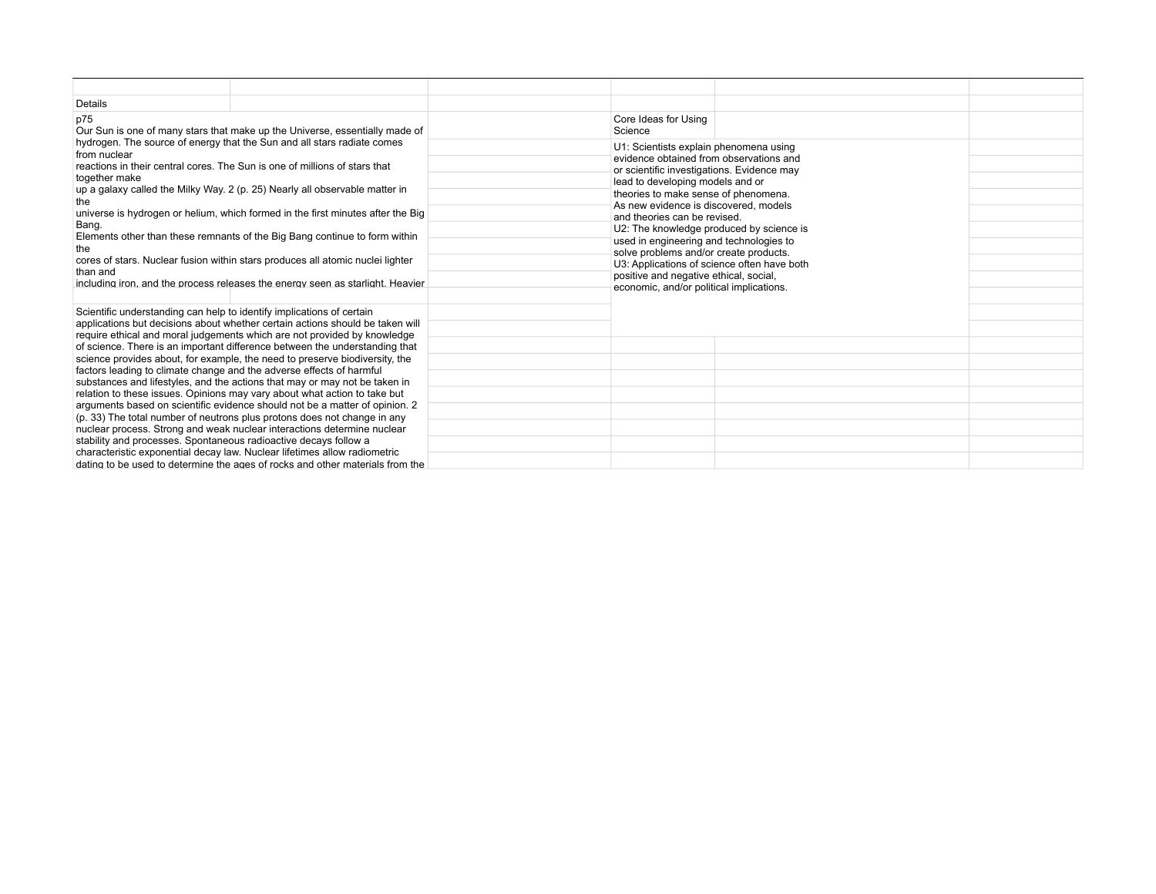| Details                                                                                                                                                                                                                                                           |                                                                                                                                                           |                                                                                                                                 |  |  |
|-------------------------------------------------------------------------------------------------------------------------------------------------------------------------------------------------------------------------------------------------------------------|-----------------------------------------------------------------------------------------------------------------------------------------------------------|---------------------------------------------------------------------------------------------------------------------------------|--|--|
| p75                                                                                                                                                                                                                                                               | Our Sun is one of many stars that make up the Universe, essentially made of                                                                               | Core Ideas for Using<br>Science                                                                                                 |  |  |
| hydrogen. The source of energy that the Sun and all stars radiate comes<br>from nuclear<br>reactions in their central cores. The Sun is one of millions of stars that                                                                                             |                                                                                                                                                           | U1: Scientists explain phenomena using<br>evidence obtained from observations and<br>or scientific investigations. Evidence may |  |  |
| together make<br>up a galaxy called the Milky Way. 2 (p. 25) Nearly all observable matter in<br>the                                                                                                                                                               |                                                                                                                                                           | lead to developing models and or<br>theories to make sense of phenomena.                                                        |  |  |
| Bang.                                                                                                                                                                                                                                                             | universe is hydrogen or helium, which formed in the first minutes after the Big                                                                           | As new evidence is discovered, models<br>and theories can be revised.<br>U2: The knowledge produced by science is               |  |  |
| Elements other than these remnants of the Big Bang continue to form within<br>the<br>cores of stars. Nuclear fusion within stars produces all atomic nuclei lighter<br>than and<br>including iron, and the process releases the energy seen as starlight. Heavier | used in engineering and technologies to<br>solve problems and/or create products.<br>U3: Applications of science often have both                          |                                                                                                                                 |  |  |
|                                                                                                                                                                                                                                                                   | positive and negative ethical, social,<br>economic, and/or political implications.                                                                        |                                                                                                                                 |  |  |
| Scientific understanding can help to identify implications of certain                                                                                                                                                                                             | applications but decisions about whether certain actions should be taken will                                                                             |                                                                                                                                 |  |  |
|                                                                                                                                                                                                                                                                   | require ethical and moral judgements which are not provided by knowledge<br>of science. There is an important difference between the understanding that   |                                                                                                                                 |  |  |
| factors leading to climate change and the adverse effects of harmful                                                                                                                                                                                              | science provides about, for example, the need to preserve biodiversity, the<br>substances and lifestyles, and the actions that may or may not be taken in |                                                                                                                                 |  |  |
| relation to these issues. Opinions may vary about what action to take but                                                                                                                                                                                         | arguments based on scientific evidence should not be a matter of opinion. 2                                                                               |                                                                                                                                 |  |  |
| (p. 33) The total number of neutrons plus protons does not change in any<br>nuclear process. Strong and weak nuclear interactions determine nuclear<br>stability and processes. Spontaneous radioactive decays follow a                                           |                                                                                                                                                           |                                                                                                                                 |  |  |
| characteristic exponential decay law. Nuclear lifetimes allow radiometric                                                                                                                                                                                         | dating to be used to determine the ages of rocks and other materials from the                                                                             |                                                                                                                                 |  |  |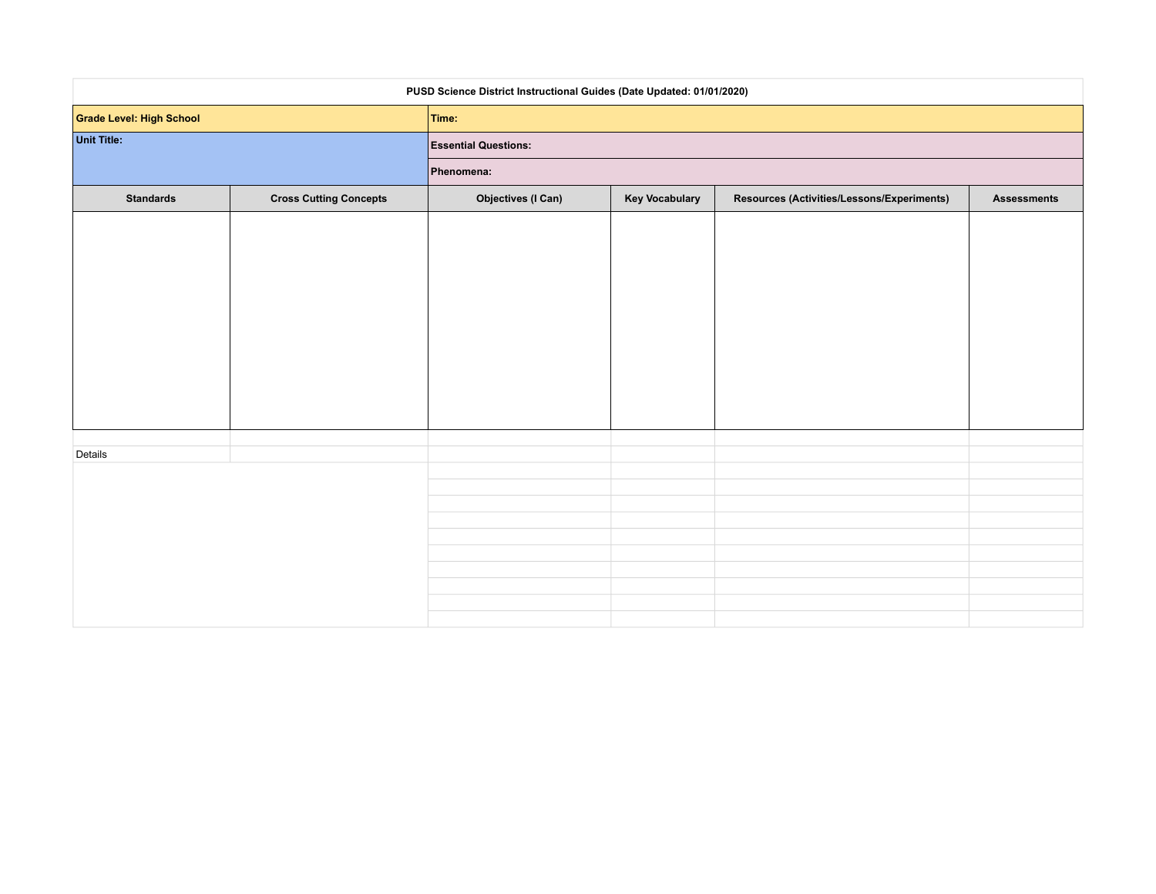|                          | PUSD Science District Instructional Guides (Date Updated: 01/01/2020) |                             |                       |                                            |                    |
|--------------------------|-----------------------------------------------------------------------|-----------------------------|-----------------------|--------------------------------------------|--------------------|
| Grade Level: High School |                                                                       | Time:                       |                       |                                            |                    |
| Unit Title:              |                                                                       | <b>Essential Questions:</b> |                       |                                            |                    |
|                          |                                                                       | Phenomena:                  |                       |                                            |                    |
| <b>Standards</b>         | <b>Cross Cutting Concepts</b>                                         | <b>Objectives (I Can)</b>   | <b>Key Vocabulary</b> | Resources (Activities/Lessons/Experiments) | <b>Assessments</b> |
|                          |                                                                       |                             |                       |                                            |                    |
|                          |                                                                       |                             |                       |                                            |                    |
|                          |                                                                       |                             |                       |                                            |                    |
|                          |                                                                       |                             |                       |                                            |                    |
|                          |                                                                       |                             |                       |                                            |                    |
|                          |                                                                       |                             |                       |                                            |                    |
|                          |                                                                       |                             |                       |                                            |                    |
|                          |                                                                       |                             |                       |                                            |                    |
|                          |                                                                       |                             |                       |                                            |                    |
| Details                  |                                                                       |                             |                       |                                            |                    |
|                          |                                                                       |                             |                       |                                            |                    |
|                          |                                                                       |                             |                       |                                            |                    |
|                          |                                                                       |                             |                       |                                            |                    |
|                          |                                                                       |                             |                       |                                            |                    |
|                          |                                                                       |                             |                       |                                            |                    |
|                          |                                                                       |                             |                       |                                            |                    |
|                          |                                                                       |                             |                       |                                            |                    |
|                          |                                                                       |                             |                       |                                            |                    |
|                          |                                                                       |                             |                       |                                            |                    |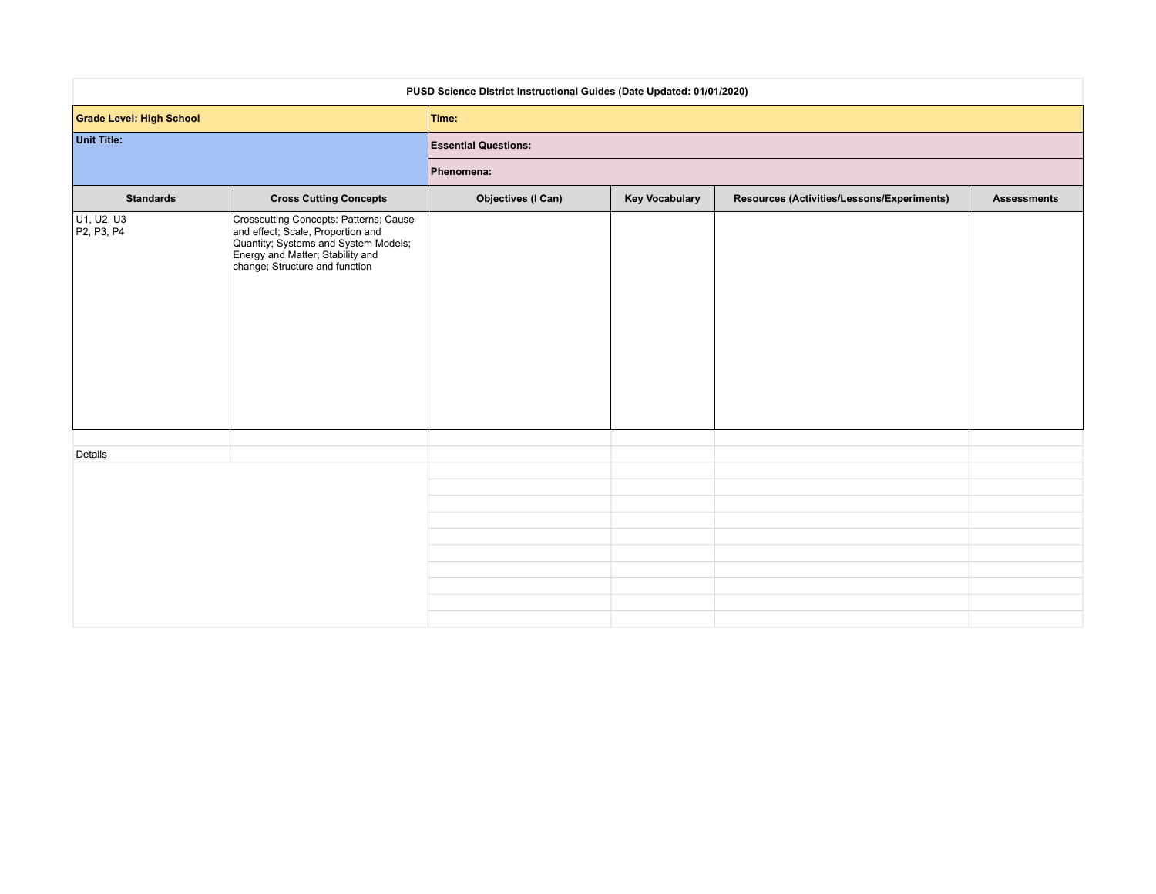| PUSD Science District Instructional Guides (Date Updated: 01/01/2020) |                                                                                                                                                                                           |                                           |  |  |  |  |  |  |  |                  |
|-----------------------------------------------------------------------|-------------------------------------------------------------------------------------------------------------------------------------------------------------------------------------------|-------------------------------------------|--|--|--|--|--|--|--|------------------|
| <b>Grade Level: High School</b>                                       |                                                                                                                                                                                           | Time:                                     |  |  |  |  |  |  |  |                  |
| <b>Unit Title:</b>                                                    |                                                                                                                                                                                           | <b>Essential Questions:</b><br>Phenomena: |  |  |  |  |  |  |  |                  |
|                                                                       |                                                                                                                                                                                           |                                           |  |  |  |  |  |  |  | <b>Standards</b> |
| U1, U2, U3<br>P2, P3, P4                                              | Crosscutting Concepts: Patterns; Cause<br>and effect; Scale, Proportion and<br>Quantity; Systems and System Models;<br>Energy and Matter; Stability and<br>change; Structure and function |                                           |  |  |  |  |  |  |  |                  |
|                                                                       |                                                                                                                                                                                           |                                           |  |  |  |  |  |  |  |                  |
| Details                                                               |                                                                                                                                                                                           |                                           |  |  |  |  |  |  |  |                  |
|                                                                       |                                                                                                                                                                                           |                                           |  |  |  |  |  |  |  |                  |
|                                                                       |                                                                                                                                                                                           |                                           |  |  |  |  |  |  |  |                  |
|                                                                       |                                                                                                                                                                                           |                                           |  |  |  |  |  |  |  |                  |
|                                                                       |                                                                                                                                                                                           |                                           |  |  |  |  |  |  |  |                  |
|                                                                       |                                                                                                                                                                                           |                                           |  |  |  |  |  |  |  |                  |
|                                                                       |                                                                                                                                                                                           |                                           |  |  |  |  |  |  |  |                  |
|                                                                       |                                                                                                                                                                                           |                                           |  |  |  |  |  |  |  |                  |
|                                                                       |                                                                                                                                                                                           |                                           |  |  |  |  |  |  |  |                  |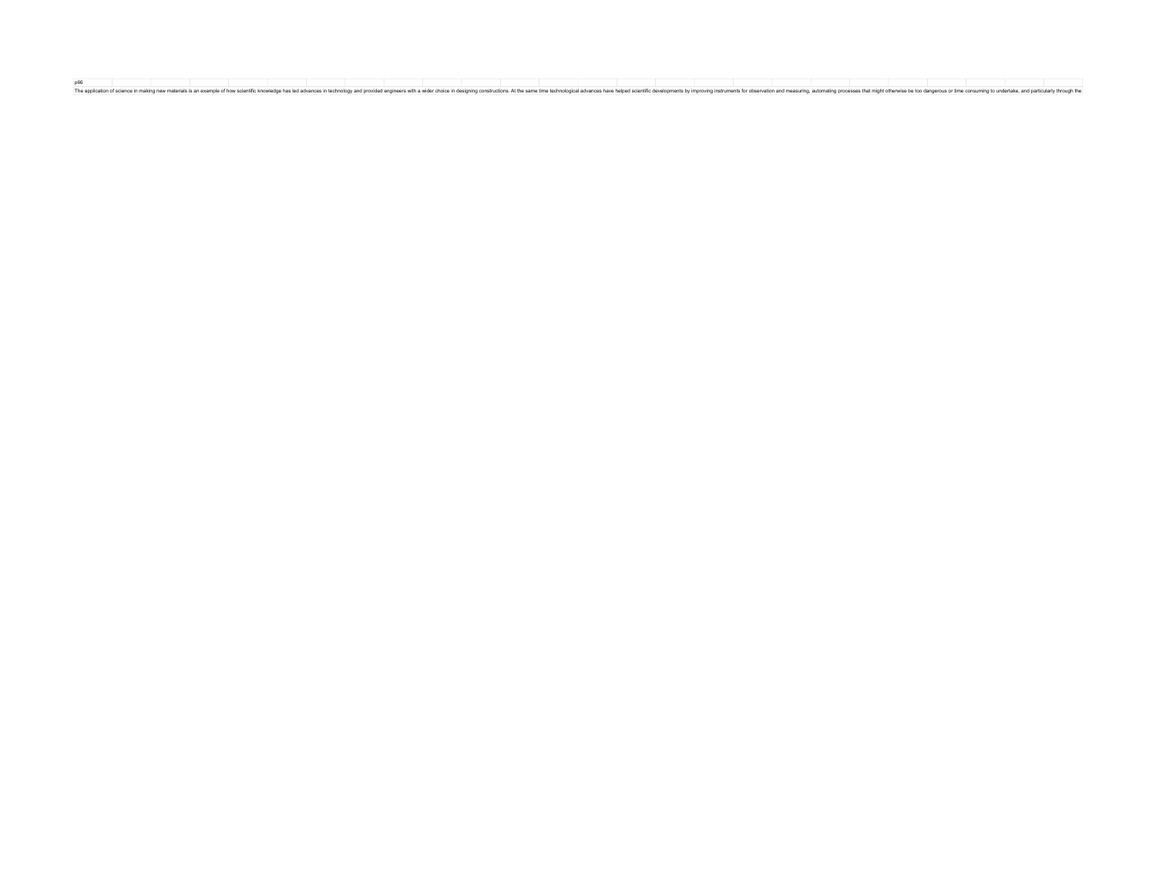p66<br>The application of science in making new materials is an example of how solentific knowledge has led advances inte behology and provided engineers with a wider choice in designing constructions. At the same time techno